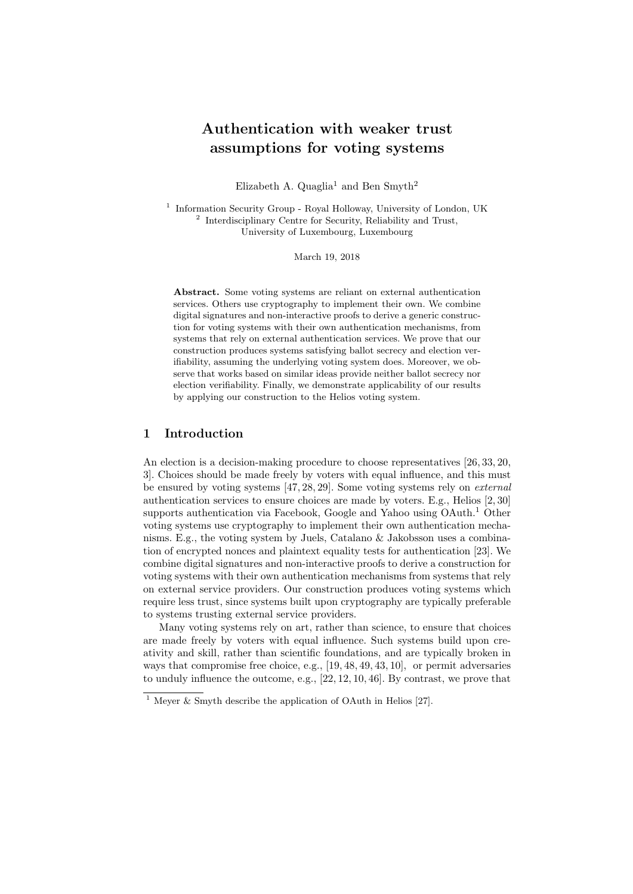# Authentication with weaker trust assumptions for voting systems

Elizabeth A. Quaglia<sup>1</sup> and Ben Smyth<sup>2</sup>

<sup>1</sup> Information Security Group - Royal Holloway, University of London, UK <sup>2</sup> Interdisciplinary Centre for Security, Reliability and Trust, University of Luxembourg, Luxembourg

March 19, 2018

Abstract. Some voting systems are reliant on external authentication services. Others use cryptography to implement their own. We combine digital signatures and non-interactive proofs to derive a generic construction for voting systems with their own authentication mechanisms, from systems that rely on external authentication services. We prove that our construction produces systems satisfying ballot secrecy and election verifiability, assuming the underlying voting system does. Moreover, we observe that works based on similar ideas provide neither ballot secrecy nor election verifiability. Finally, we demonstrate applicability of our results by applying our construction to the Helios voting system.

#### 1 Introduction

An election is a decision-making procedure to choose representatives [26, 33, 20, 3]. Choices should be made freely by voters with equal influence, and this must be ensured by voting systems [47, 28, 29]. Some voting systems rely on external authentication services to ensure choices are made by voters. E.g., Helios [2, 30] supports authentication via Facebook, Google and Yahoo using OAuth.<sup>1</sup> Other voting systems use cryptography to implement their own authentication mechanisms. E.g., the voting system by Juels, Catalano & Jakobsson uses a combination of encrypted nonces and plaintext equality tests for authentication [23]. We combine digital signatures and non-interactive proofs to derive a construction for voting systems with their own authentication mechanisms from systems that rely on external service providers. Our construction produces voting systems which require less trust, since systems built upon cryptography are typically preferable to systems trusting external service providers.

Many voting systems rely on art, rather than science, to ensure that choices are made freely by voters with equal influence. Such systems build upon creativity and skill, rather than scientific foundations, and are typically broken in ways that compromise free choice, e.g., [19, 48, 49, 43, 10], or permit adversaries to unduly influence the outcome, e.g., [22, 12, 10, 46]. By contrast, we prove that

<sup>&</sup>lt;sup>1</sup> Meyer & Smyth describe the application of OAuth in Helios [27].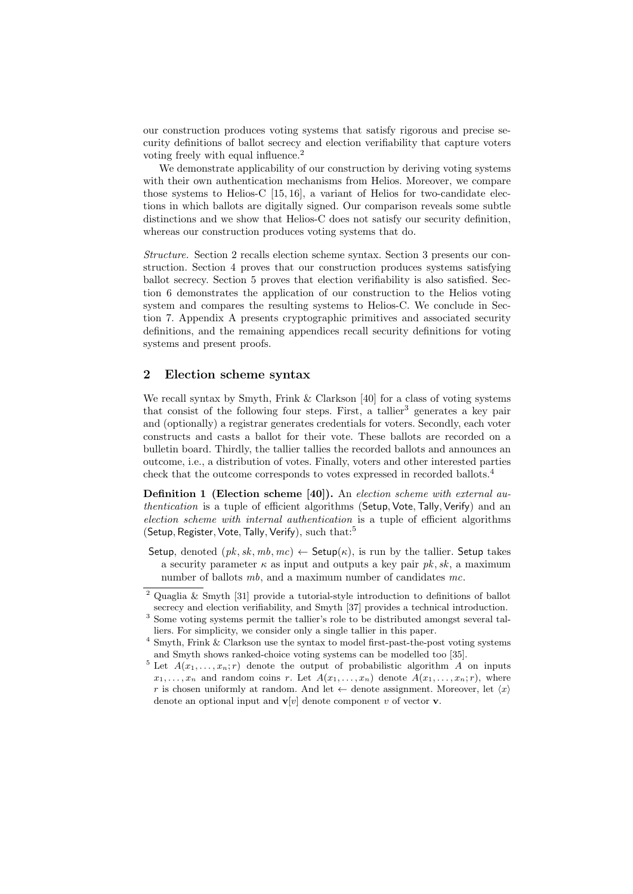our construction produces voting systems that satisfy rigorous and precise security definitions of ballot secrecy and election verifiability that capture voters voting freely with equal influence.<sup>2</sup>

We demonstrate applicability of our construction by deriving voting systems with their own authentication mechanisms from Helios. Moreover, we compare those systems to Helios-C [15, 16], a variant of Helios for two-candidate elections in which ballots are digitally signed. Our comparison reveals some subtle distinctions and we show that Helios-C does not satisfy our security definition, whereas our construction produces voting systems that do.

Structure. Section 2 recalls election scheme syntax. Section 3 presents our construction. Section 4 proves that our construction produces systems satisfying ballot secrecy. Section 5 proves that election verifiability is also satisfied. Section 6 demonstrates the application of our construction to the Helios voting system and compares the resulting systems to Helios-C. We conclude in Section 7. Appendix A presents cryptographic primitives and associated security definitions, and the remaining appendices recall security definitions for voting systems and present proofs.

### 2 Election scheme syntax

We recall syntax by Smyth, Frink & Clarkson [40] for a class of voting systems that consist of the following four steps. First, a tallier<sup>3</sup> generates a key pair and (optionally) a registrar generates credentials for voters. Secondly, each voter constructs and casts a ballot for their vote. These ballots are recorded on a bulletin board. Thirdly, the tallier tallies the recorded ballots and announces an outcome, i.e., a distribution of votes. Finally, voters and other interested parties check that the outcome corresponds to votes expressed in recorded ballots.<sup>4</sup>

Definition 1 (Election scheme [40]). An election scheme with external authentication is a tuple of efficient algorithms (Setup, Vote, Tally, Verify) and an election scheme with internal authentication is a tuple of efficient algorithms (Setup, Register, Vote, Tally, Verify), such that:<sup>5</sup>

Setup, denoted  $(pk, sk, mb, mc) \leftarrow$  Setup $(\kappa)$ , is run by the tallier. Setup takes a security parameter  $\kappa$  as input and outputs a key pair pk, sk, a maximum number of ballots mb, and a maximum number of candidates mc.

<sup>2</sup> Quaglia & Smyth [31] provide a tutorial-style introduction to definitions of ballot secrecy and election verifiability, and Smyth [37] provides a technical introduction.

<sup>3</sup> Some voting systems permit the tallier's role to be distributed amongst several talliers. For simplicity, we consider only a single tallier in this paper.

 $^4$  Smyth, Frink  $\&$  Clarkson use the syntax to model first-past-the-post voting systems and Smyth shows ranked-choice voting systems can be modelled too [35].

<sup>&</sup>lt;sup>5</sup> Let  $A(x_1, \ldots, x_n; r)$  denote the output of probabilistic algorithm A on inputs  $x_1, \ldots, x_n$  and random coins r. Let  $A(x_1, \ldots, x_n)$  denote  $A(x_1, \ldots, x_n; r)$ , where r is chosen uniformly at random. And let  $\leftarrow$  denote assignment. Moreover, let  $\langle x \rangle$ denote an optional input and  $\mathbf{v}[v]$  denote component v of vector **v**.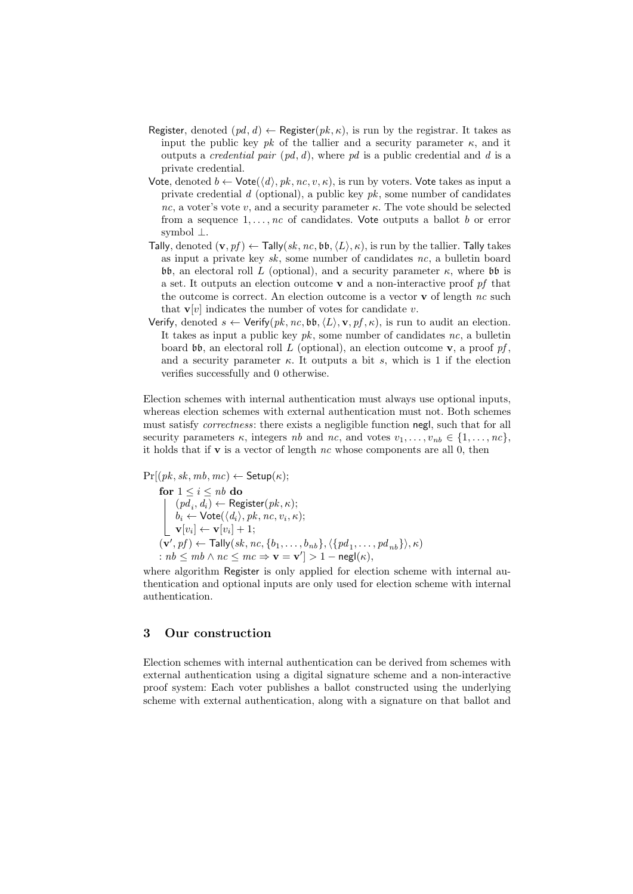- Register, denoted  $(pd, d) \leftarrow$  Register $(pk, \kappa)$ , is run by the registrar. It takes as input the public key pk of the tallier and a security parameter  $\kappa$ , and it outputs a *credential pair*  $(pd, d)$ , where pd is a public credential and d is a private credential.
- Vote, denoted  $b \leftarrow \text{Vote}(\langle d \rangle, pk, nc, v, \kappa)$ , is run by voters. Vote takes as input a private credential d (optional), a public key  $pk$ , some number of candidates nc, a voter's vote v, and a security parameter  $\kappa$ . The vote should be selected from a sequence  $1, \ldots, nc$  of candidates. Vote outputs a ballot b or error symbol ⊥.
- Tally, denoted  $(\mathbf{v}, pf) \leftarrow \text{Tally}(sk, nc, \mathfrak{bb}, \langle L \rangle, \kappa)$ , is run by the tallier. Tally takes as input a private key  $sk$ , some number of candidates nc, a bulletin board bb, an electoral roll L (optional), and a security parameter  $κ$ , where bb is a set. It outputs an election outcome  $\bf{v}$  and a non-interactive proof  $pf$  that the outcome is correct. An election outcome is a vector  $\bf{v}$  of length nc such that  $\mathbf{v}[v]$  indicates the number of votes for candidate v.
- Verify, denoted  $s \leftarrow$  Verify $(pk, nc, bb, \langle L \rangle, \mathbf{v}, pf, \kappa)$ , is run to audit an election. It takes as input a public key  $pk$ , some number of candidates nc, a bulletin board  $\mathfrak{b}\mathfrak{b}$ , an electoral roll L (optional), an election outcome **v**, a proof pf, and a security parameter  $\kappa$ . It outputs a bit s, which is 1 if the election verifies successfully and 0 otherwise.

Election schemes with internal authentication must always use optional inputs, whereas election schemes with external authentication must not. Both schemes must satisfy *correctness*: there exists a negligible function negl, such that for all security parameters  $\kappa$ , integers nb and nc, and votes  $v_1, \ldots, v_{nb} \in \{1, \ldots, nc\}$ , it holds that if **v** is a vector of length nc whose components are all 0, then

$$
\Pr[(pk, sk, mb, mc) \leftarrow \mathsf{Setup}(\kappa);
$$

for  $1 \leq i \leq nb$  do  $(pd_i, d_i) \leftarrow \text{ Register}(pk, \kappa);$  $b_i \leftarrow \mathsf{Vote}(\langle d_i \rangle, pk, nc, v_i, \kappa);$  $\mathbf{v}[v_i] \leftarrow \mathbf{v}[v_i] + 1;$  $(\mathbf{v}', pf) \leftarrow \mathsf{Tally}(sk, nc, \{b_1, \ldots, b_{nb}\}, \langle \{pd_1, \ldots, pd_{nb}\}\rangle, \kappa)$ :  $nb \le mb \land nc \le mc \Rightarrow \mathbf{v} = \mathbf{v'} \ge 1 - \mathsf{negl}(\kappa),$ 

where algorithm Register is only applied for election scheme with internal authentication and optional inputs are only used for election scheme with internal authentication.

#### 3 Our construction

Election schemes with internal authentication can be derived from schemes with external authentication using a digital signature scheme and a non-interactive proof system: Each voter publishes a ballot constructed using the underlying scheme with external authentication, along with a signature on that ballot and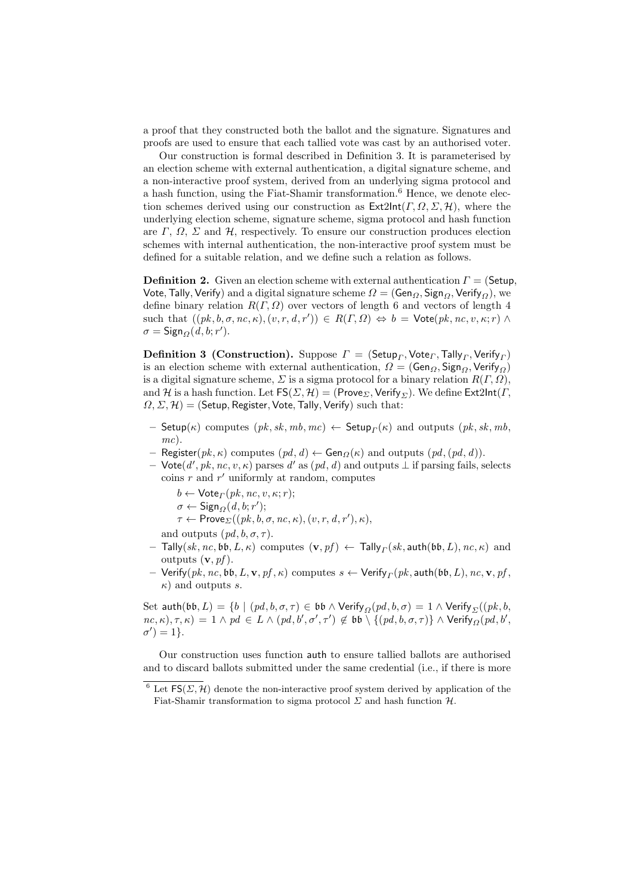a proof that they constructed both the ballot and the signature. Signatures and proofs are used to ensure that each tallied vote was cast by an authorised voter.

Our construction is formal described in Definition 3. It is parameterised by an election scheme with external authentication, a digital signature scheme, and a non-interactive proof system, derived from an underlying sigma protocol and a hash function, using the Fiat-Shamir transformation.<sup>6</sup> Hence, we denote election schemes derived using our construction as  $\textsf{Ext2Int}(\Gamma,\Omega,\Sigma,\mathcal{H})$ , where the underlying election scheme, signature scheme, sigma protocol and hash function are  $\Gamma$ ,  $\Omega$ ,  $\Sigma$  and  $\mathcal{H}$ , respectively. To ensure our construction produces election schemes with internal authentication, the non-interactive proof system must be defined for a suitable relation, and we define such a relation as follows.

**Definition 2.** Given an election scheme with external authentication  $\Gamma = (\mathsf{Setup}, \mathsf{Output})$ Vote, Tally, Verify) and a digital signature scheme  $\Omega = (Gen_{\Omega}, Sign_{\Omega}, Verify_{\Omega}),$  we define binary relation  $R(\Gamma,\Omega)$  over vectors of length 6 and vectors of length 4 such that  $((pk, b, \sigma, nc, \kappa), (v, r, d, r')) \in R(\Gamma, \Omega) \Leftrightarrow b = \text{Vote}(pk, nc, v, \kappa; r) \wedge$  $\sigma = \mathsf{Sign}_{\Omega}(d, b; r').$ 

**Definition 3 (Construction).** Suppose  $\mathbf{\Gamma} = (\mathsf{Setup}_{\Gamma}, \mathsf{Vote}_{\Gamma}, \mathsf{Tally}_{\Gamma}, \mathsf{Verify}_{\Gamma})$ is an election scheme with external authentication,  $\Omega = (Gen_{\Omega}, Sign_{\Omega}, Verify_{\Omega})$ is a digital signature scheme,  $\Sigma$  is a sigma protocol for a binary relation  $R(\Gamma,\Omega)$ , and H is a hash function. Let  $FS(\Sigma, \mathcal{H}) = (Prove_{\Sigma}$ , Verify<sub> $\Sigma$ </sub>). We define Ext2Int( $\Gamma$ ,  $\Omega$ ,  $\Sigma$ ,  $\mathcal{H}$ ) = (Setup, Register, Vote, Tally, Verify) such that:

- $-$  Setup( $\kappa$ ) computes  $(\mathit{pk}, \mathit{sk}, \mathit{mb}, \mathit{mc}) \leftarrow$  Setup $_{\mathit{\Gamma}}(\kappa)$  and outputs  $(\mathit{pk}, \mathit{sk}, \mathit{mb}, \mathit{mb})$ mc).
- Register( $pk, \kappa$ ) computes  $(pd, d) \leftarrow Gen_{\Omega}(\kappa)$  and outputs  $(pd, (pd, d))$ .
- $-$  Vote(d', pk, nc, v, κ) parses d' as (pd, d) and outputs ⊥ if parsing fails, selects  $\frac{1}{r}$  and  $r'$  uniformly at random, computes

 $b \leftarrow \text{Vote}_{\Gamma}(pk, nc, v, \kappa; r);$ 

- $\sigma \leftarrow$  Sign $_{\Omega}(d, b; r');$
- $\tau \leftarrow \mathsf{Prove}_{\Sigma}((pk, b, \sigma, nc, \kappa), (v, r, d, r'), \kappa),$

and outputs  $(pd, b, \sigma, \tau)$ .

- $-$  Tally $(sk, nc, b$ b, $L, \kappa)$  computes  $(\mathbf{v}, pf) \leftarrow$  Tally $_{\mathit{\Gamma}}(sk, \mathsf{auth}(\mathfrak{bb}, L), nc, \kappa)$  and outputs  $(v, pf)$ .
- $-$  Verify $(pk, nc, b\mathfrak{b}, L, \mathbf{v}, pf, \kappa)$  computes  $s \leftarrow$  Verify ${}_{\varGamma}(pk, \mathsf{auth}(\mathfrak{bb}, L), nc, \mathbf{v}, pf,$  $\kappa$ ) and outputs s.

Set auth $(\mathfrak{bb}, L) = \{b \mid (pd, b, \sigma, \tau) \in \mathfrak{bb} \land \text{Verify}_{\Omega}(pd, b, \sigma) = 1 \land \text{Verify}_{\Sigma}((pk, b, \tau))\}$  $nc, \kappa$ ),  $\tau, \kappa$ ) = 1  $\wedge$   $pd \in L \wedge (pd, b', \sigma', \tau') \notin \mathfrak{bb} \setminus \{(pd, b, \sigma, \tau)\} \wedge \mathsf{Verify}_{\Omega}(pd, b',$  $\sigma'$ ) = 1}.

Our construction uses function auth to ensure tallied ballots are authorised and to discard ballots submitted under the same credential (i.e., if there is more

<sup>&</sup>lt;sup>6</sup> Let  $FS(\Sigma, \mathcal{H})$  denote the non-interactive proof system derived by application of the Fiat-Shamir transformation to sigma protocol  $\Sigma$  and hash function  $\mathcal{H}$ .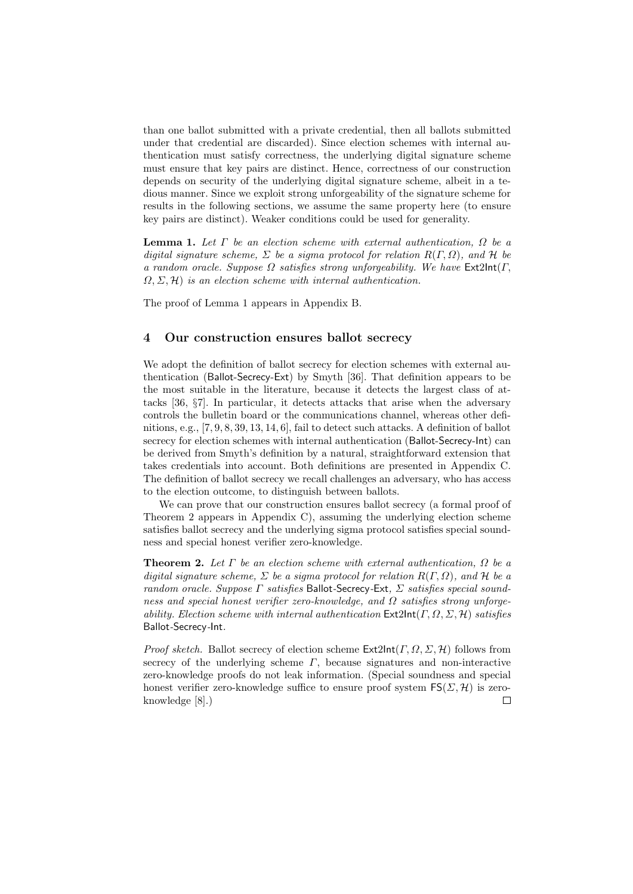than one ballot submitted with a private credential, then all ballots submitted under that credential are discarded). Since election schemes with internal authentication must satisfy correctness, the underlying digital signature scheme must ensure that key pairs are distinct. Hence, correctness of our construction depends on security of the underlying digital signature scheme, albeit in a tedious manner. Since we exploit strong unforgeability of the signature scheme for results in the following sections, we assume the same property here (to ensure key pairs are distinct). Weaker conditions could be used for generality.

**Lemma 1.** Let  $\Gamma$  be an election scheme with external authentication,  $\Omega$  be a digital signature scheme,  $\Sigma$  be a sigma protocol for relation  $R(\Gamma,\Omega)$ , and H be a random oracle. Suppose  $\Omega$  satisfies strong unforgeability. We have Ext2Int( $\Gamma$ ,  $\Omega$ ,  $\Sigma$ ,  $\mathcal{H}$ ) is an election scheme with internal authentication.

The proof of Lemma 1 appears in Appendix B.

#### 4 Our construction ensures ballot secrecy

We adopt the definition of ballot secrecy for election schemes with external authentication (Ballot-Secrecy-Ext) by Smyth [36]. That definition appears to be the most suitable in the literature, because it detects the largest class of attacks [36, §7]. In particular, it detects attacks that arise when the adversary controls the bulletin board or the communications channel, whereas other definitions, e.g., [7, 9, 8, 39, 13, 14, 6], fail to detect such attacks. A definition of ballot secrecy for election schemes with internal authentication (Ballot-Secrecy-Int) can be derived from Smyth's definition by a natural, straightforward extension that takes credentials into account. Both definitions are presented in Appendix C. The definition of ballot secrecy we recall challenges an adversary, who has access to the election outcome, to distinguish between ballots.

We can prove that our construction ensures ballot secrecy (a formal proof of Theorem 2 appears in Appendix C), assuming the underlying election scheme satisfies ballot secrecy and the underlying sigma protocol satisfies special soundness and special honest verifier zero-knowledge.

**Theorem 2.** Let  $\Gamma$  be an election scheme with external authentication,  $\Omega$  be a digital signature scheme,  $\Sigma$  be a sigma protocol for relation  $R(\Gamma,\Omega)$ , and  $\mathcal H$  be a random oracle. Suppose  $\Gamma$  satisfies Ballot-Secrecy-Ext,  $\Sigma$  satisfies special soundness and special honest verifier zero-knowledge, and  $\Omega$  satisfies strong unforgeability. Election scheme with internal authentication  $\textsf{Ext2Int}(\Gamma,\Omega,\Sigma,\mathcal{H})$  satisfies Ballot-Secrecy-Int.

*Proof sketch.* Ballot secrecy of election scheme  $\text{Ext2Int}(\Gamma, \Omega, \Sigma, \mathcal{H})$  follows from secrecy of the underlying scheme  $\Gamma$ , because signatures and non-interactive zero-knowledge proofs do not leak information. (Special soundness and special honest verifier zero-knowledge suffice to ensure proof system  $FS(\Sigma, \mathcal{H})$  is zeroknowledge [8].) $\Box$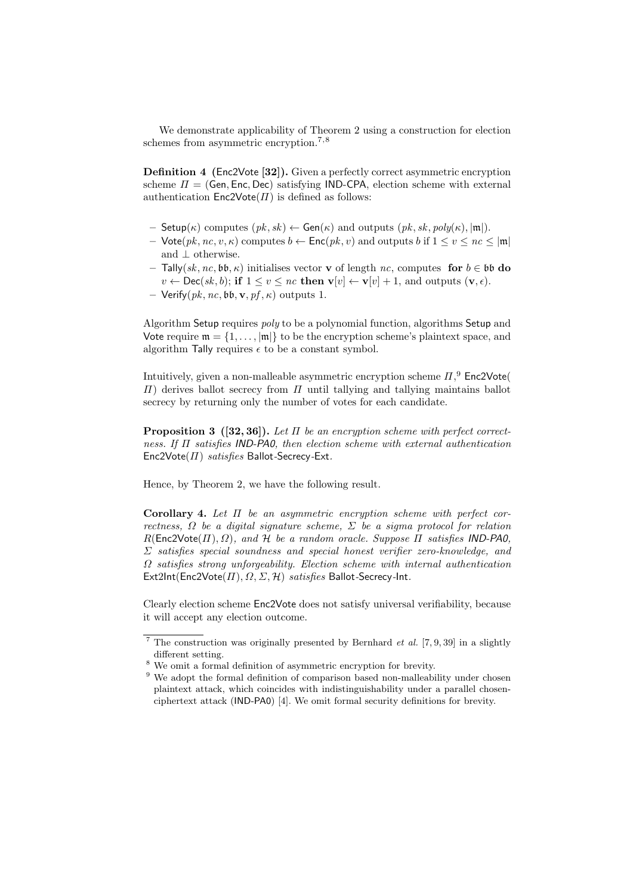We demonstrate applicability of Theorem 2 using a construction for election schemes from asymmetric encryption.<sup>7,8</sup>

Definition 4 (Enc2Vote [32]). Given a perfectly correct asymmetric encryption scheme  $\Pi = (Gen, Enc, Dec)$  satisfying IND-CPA, election scheme with external authentication  $Enc2Vote(\Pi)$  is defined as follows:

- Setup( $\kappa$ ) computes  $(pk, sk) \leftarrow Gen(\kappa)$  and outputs  $(pk, sk, poly(\kappa), |\mathfrak{m}|)$ .
- Vote $(pk, nc, v, \kappa)$  computes  $b \leftarrow \mathsf{Enc}(pk, v)$  and outputs b if  $1 \le v \le nc \le |\mathfrak{m}|$ and  $\perp$  otherwise.
- Tally(sk, nc, bb, κ) initialises vector v of length nc, computes for b ∈ bb do  $v \leftarrow \mathsf{Dec}(sk, b);$  if  $1 \le v \le nc$  then  $\mathbf{v}[v] \leftarrow \mathbf{v}[v] + 1$ , and outputs  $(\mathbf{v}, \epsilon)$ .
- Verify $(pk, nc, bb, v, pf, \kappa)$  outputs 1.

Algorithm Setup requires *poly* to be a polynomial function, algorithms Setup and Vote require  $\mathfrak{m} = \{1, \ldots, |\mathfrak{m}|\}$  to be the encryption scheme's plaintext space, and algorithm Tally requires  $\epsilon$  to be a constant symbol.

Intuitively, given a non-malleable asymmetric encryption scheme  $\Pi$ ,  $9$  Enc2Vote(  $\Pi$ ) derives ballot secrecy from  $\Pi$  until tallying and tallying maintains ballot secrecy by returning only the number of votes for each candidate.

**Proposition 3** ([32, 36]). Let  $\Pi$  be an encryption scheme with perfect correctness. If Π satisfies IND-PA0, then election scheme with external authentication  $Enc2Vote(\Pi)$  satisfies Ballot-Secrecy-Ext.

Hence, by Theorem 2, we have the following result.

Corollary 4. Let  $\Pi$  be an asymmetric encryption scheme with perfect correctness,  $\Omega$  be a digital signature scheme,  $\Sigma$  be a sigma protocol for relation  $R(\text{Enc2Vote}(H), \Omega)$ , and H be a random oracle. Suppose  $\Pi$  satisfies IND-PA0,  $\Sigma$  satisfies special soundness and special honest verifier zero-knowledge, and  $\Omega$  satisfies strong unforgeability. Election scheme with internal authentication  $Ext2Int(Enc2Vote( $\Pi$ ),  $\Omega$ ,  $\Sigma$ ,  $\mathcal{H}$ ) *satisfies* Ballot-Secrecy-Int.$ 

Clearly election scheme Enc2Vote does not satisfy universal verifiability, because it will accept any election outcome.

<sup>&</sup>lt;sup>7</sup> The construction was originally presented by Bernhard *et al.* [7, 9, 39] in a slightly different setting.

<sup>8</sup> We omit a formal definition of asymmetric encryption for brevity.

<sup>&</sup>lt;sup>9</sup> We adopt the formal definition of comparison based non-malleability under chosen plaintext attack, which coincides with indistinguishability under a parallel chosenciphertext attack (IND-PA0) [4]. We omit formal security definitions for brevity.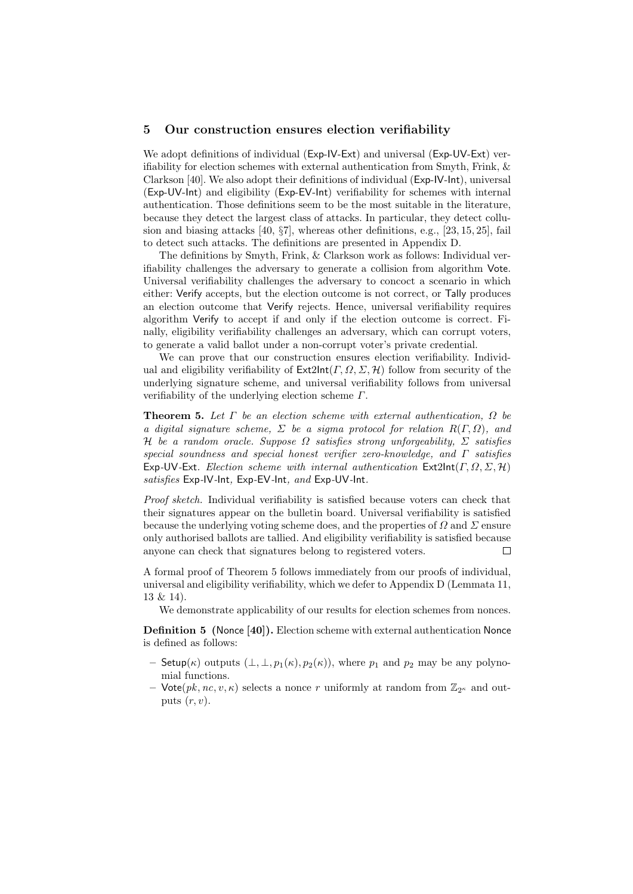#### 5 Our construction ensures election verifiability

We adopt definitions of individual (Exp-IV-Ext) and universal (Exp-UV-Ext) verifiability for election schemes with external authentication from Smyth, Frink, & Clarkson [40]. We also adopt their definitions of individual (Exp-IV-Int), universal (Exp-UV-Int) and eligibility (Exp-EV-Int) verifiability for schemes with internal authentication. Those definitions seem to be the most suitable in the literature, because they detect the largest class of attacks. In particular, they detect collusion and biasing attacks [40, §7], whereas other definitions, e.g., [23, 15, 25], fail to detect such attacks. The definitions are presented in Appendix D.

The definitions by Smyth, Frink, & Clarkson work as follows: Individual verifiability challenges the adversary to generate a collision from algorithm Vote. Universal verifiability challenges the adversary to concoct a scenario in which either: Verify accepts, but the election outcome is not correct, or Tally produces an election outcome that Verify rejects. Hence, universal verifiability requires algorithm Verify to accept if and only if the election outcome is correct. Finally, eligibility verifiability challenges an adversary, which can corrupt voters, to generate a valid ballot under a non-corrupt voter's private credential.

We can prove that our construction ensures election verifiability. Individual and eligibility verifiability of  $\mathsf{Ext2Int}(T, \Omega, \Sigma, \mathcal{H})$  follow from security of the underlying signature scheme, and universal verifiability follows from universal verifiability of the underlying election scheme  $\Gamma$ .

**Theorem 5.** Let  $\Gamma$  be an election scheme with external authentication,  $\Omega$  be a digital signature scheme,  $\Sigma$  be a sigma protocol for relation  $R(\Gamma,\Omega)$ , and H be a random oracle. Suppose  $\Omega$  satisfies strong unforgeability,  $\Sigma$  satisfies special soundness and special honest verifier zero-knowledge, and  $\Gamma$  satisfies Exp-UV-Ext. Election scheme with internal authentication  $\textsf{Ext2Int}(\Gamma,\Omega,\Sigma,\mathcal{H})$ satisfies Exp-IV-Int, Exp-EV-Int, and Exp-UV-Int.

Proof sketch. Individual verifiability is satisfied because voters can check that their signatures appear on the bulletin board. Universal verifiability is satisfied because the underlying voting scheme does, and the properties of  $\Omega$  and  $\Sigma$  ensure only authorised ballots are tallied. And eligibility verifiability is satisfied because anyone can check that signatures belong to registered voters.  $\Box$ 

A formal proof of Theorem 5 follows immediately from our proofs of individual, universal and eligibility verifiability, which we defer to Appendix D (Lemmata 11, 13 & 14).

We demonstrate applicability of our results for election schemes from nonces.

Definition 5 (Nonce [40]). Election scheme with external authentication Nonce is defined as follows:

- Setup( $\kappa$ ) outputs  $(\perp, \perp, p_1(\kappa), p_2(\kappa))$ , where  $p_1$  and  $p_2$  may be any polynomial functions.
- Vote $(pk, nc, v, \kappa)$  selects a nonce r uniformly at random from  $\mathbb{Z}_{2^{\kappa}}$  and outputs  $(r, v)$ .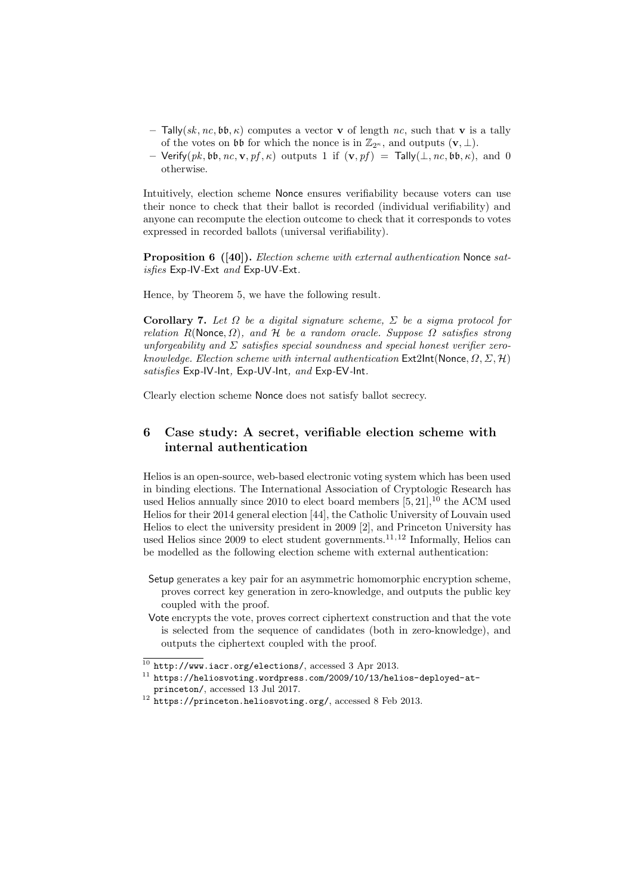- $-$  Tally(sk, nc, bb,  $\kappa$ ) computes a vector v of length nc, such that v is a tally of the votes on  $\mathfrak{b}\mathfrak{b}$  for which the nonce is in  $\mathbb{Z}_{2^{\kappa}}$ , and outputs  $(\mathbf{v}, \perp)$ .
- Verify $(pk, bb, nc, v, pf, \kappa)$  outputs 1 if  $(v, pf)$  = Tally $(\perp, nc, bb, \kappa)$ , and 0 otherwise.

Intuitively, election scheme Nonce ensures verifiability because voters can use their nonce to check that their ballot is recorded (individual verifiability) and anyone can recompute the election outcome to check that it corresponds to votes expressed in recorded ballots (universal verifiability).

Proposition 6 ([40]). Election scheme with external authentication Nonce satisfies Exp-IV-Ext and Exp-UV-Ext.

Hence, by Theorem 5, we have the following result.

Corollary 7. Let  $\Omega$  be a digital signature scheme,  $\Sigma$  be a sigma protocol for relation R(Nonce,  $\Omega$ ), and H be a random oracle. Suppose  $\Omega$  satisfies strong unforgeability and  $\Sigma$  satisfies special soundness and special honest verifier zeroknowledge. Election scheme with internal authentication  $Ext2Int(Nonce, \Omega, \Sigma, \mathcal{H})$ satisfies Exp-IV-Int, Exp-UV-Int, and Exp-EV-Int.

Clearly election scheme Nonce does not satisfy ballot secrecy.

## 6 Case study: A secret, verifiable election scheme with internal authentication

Helios is an open-source, web-based electronic voting system which has been used in binding elections. The International Association of Cryptologic Research has used Helios annually since 2010 to elect board members  $[5, 21]$ ,<sup>10</sup> the ACM used Helios for their 2014 general election [44], the Catholic University of Louvain used Helios to elect the university president in 2009 [2], and Princeton University has used Helios since 2009 to elect student governments.<sup>11,12</sup> Informally, Helios can be modelled as the following election scheme with external authentication:

- Setup generates a key pair for an asymmetric homomorphic encryption scheme, proves correct key generation in zero-knowledge, and outputs the public key coupled with the proof.
- Vote encrypts the vote, proves correct ciphertext construction and that the vote is selected from the sequence of candidates (both in zero-knowledge), and outputs the ciphertext coupled with the proof.

 $\frac{10 \text{ http://www.iacr.org/elections/}}{3 \text{ Apr 2013}}$ .

 $11$  https://heliosvoting.wordpress.com/2009/10/13/helios-deployed-atprinceton/, accessed 13 Jul 2017.

<sup>&</sup>lt;sup>12</sup> https://princeton.heliosvoting.org/, accessed 8 Feb 2013.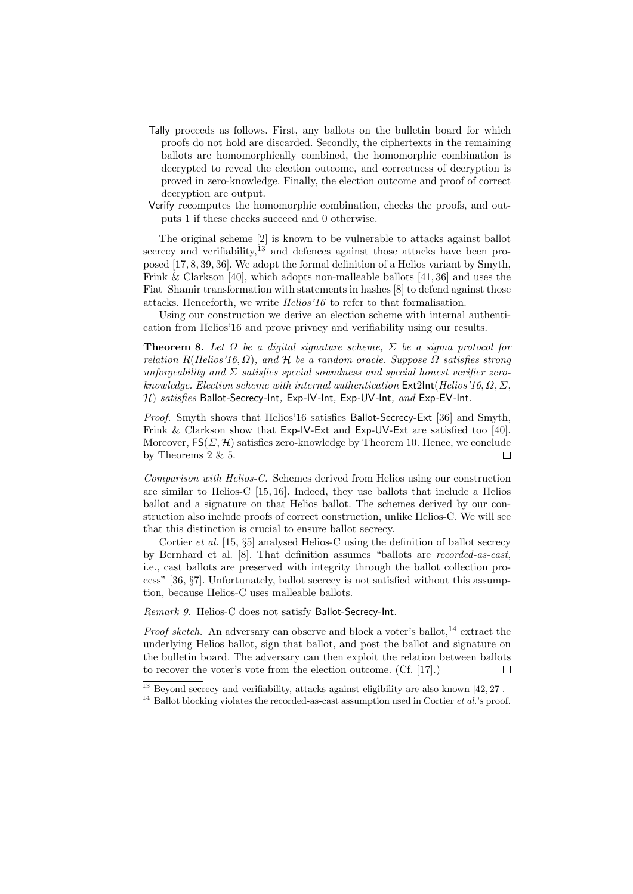- Tally proceeds as follows. First, any ballots on the bulletin board for which proofs do not hold are discarded. Secondly, the ciphertexts in the remaining ballots are homomorphically combined, the homomorphic combination is decrypted to reveal the election outcome, and correctness of decryption is proved in zero-knowledge. Finally, the election outcome and proof of correct decryption are output.
- Verify recomputes the homomorphic combination, checks the proofs, and outputs 1 if these checks succeed and 0 otherwise.

The original scheme [2] is known to be vulnerable to attacks against ballot secrecy and verifiability,  $13$  and defences against those attacks have been proposed [17, 8, 39, 36]. We adopt the formal definition of a Helios variant by Smyth, Frink & Clarkson [40], which adopts non-malleable ballots [41, 36] and uses the Fiat–Shamir transformation with statements in hashes [8] to defend against those attacks. Henceforth, we write Helios'16 to refer to that formalisation.

Using our construction we derive an election scheme with internal authentication from Helios'16 and prove privacy and verifiability using our results.

**Theorem 8.** Let  $\Omega$  be a digital signature scheme,  $\Sigma$  be a sigma protocol for relation  $R(Helios'16, \Omega)$ , and H be a random oracle. Suppose  $\Omega$  satisfies strong unforgeability and  $\Sigma$  satisfies special soundness and special honest verifier zeroknowledge. Election scheme with internal authentication  $Ext2Int(Helios'16, \Omega, \Sigma,$  $H$ ) satisfies Ballot-Secrecy-Int, Exp-IV-Int, Exp-UV-Int, and Exp-EV-Int.

Proof. Smyth shows that Helios'16 satisfies Ballot-Secrecy-Ext [36] and Smyth, Frink & Clarkson show that Exp-IV-Ext and Exp-UV-Ext are satisfied too [40]. Moreover,  $FS(\Sigma, \mathcal{H})$  satisfies zero-knowledge by Theorem 10. Hence, we conclude by Theorems 2 & 5.  $\Box$ 

Comparison with Helios-C. Schemes derived from Helios using our construction are similar to Helios-C [15, 16]. Indeed, they use ballots that include a Helios ballot and a signature on that Helios ballot. The schemes derived by our construction also include proofs of correct construction, unlike Helios-C. We will see that this distinction is crucial to ensure ballot secrecy.

Cortier *et al.* [15,  $\S5$ ] analysed Helios-C using the definition of ballot secrecy by Bernhard et al. [8]. That definition assumes "ballots are recorded-as-cast, i.e., cast ballots are preserved with integrity through the ballot collection process" [36, §7]. Unfortunately, ballot secrecy is not satisfied without this assumption, because Helios-C uses malleable ballots.

Remark 9. Helios-C does not satisfy Ballot-Secrecy-Int.

*Proof sketch.* An adversary can observe and block a voter's ballot,  $^{14}$  extract the underlying Helios ballot, sign that ballot, and post the ballot and signature on the bulletin board. The adversary can then exploit the relation between ballots to recover the voter's vote from the election outcome. (Cf. [17].)  $\Box$ 

 $13$  Beyond secrecy and verifiability, attacks against eligibility are also known  $[42, 27]$ .

<sup>&</sup>lt;sup>14</sup> Ballot blocking violates the recorded-as-cast assumption used in Cortier *et al.*'s proof.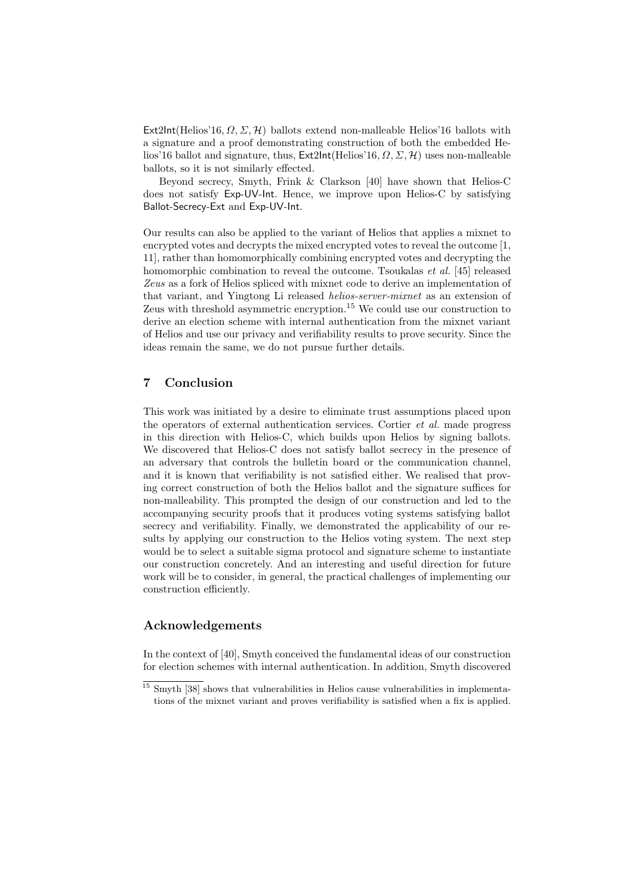Ext2Int(Helios'16,  $\Omega$ ,  $\Sigma$ ,  $\mathcal{H}$ ) ballots extend non-malleable Helios'16 ballots with a signature and a proof demonstrating construction of both the embedded Helios'16 ballot and signature, thus, Ext2Int(Helios'16,  $\Omega$ ,  $\Sigma$ ,  $\mathcal{H}$ ) uses non-malleable ballots, so it is not similarly effected.

Beyond secrecy, Smyth, Frink & Clarkson [40] have shown that Helios-C does not satisfy Exp-UV-Int. Hence, we improve upon Helios-C by satisfying Ballot-Secrecy-Ext and Exp-UV-Int.

Our results can also be applied to the variant of Helios that applies a mixnet to encrypted votes and decrypts the mixed encrypted votes to reveal the outcome [1, 11], rather than homomorphically combining encrypted votes and decrypting the homomorphic combination to reveal the outcome. Tsoukalas *et al.* [45] released Zeus as a fork of Helios spliced with mixnet code to derive an implementation of that variant, and Yingtong Li released helios-server-mixnet as an extension of Zeus with threshold asymmetric encryption.<sup>15</sup> We could use our construction to derive an election scheme with internal authentication from the mixnet variant of Helios and use our privacy and verifiability results to prove security. Since the ideas remain the same, we do not pursue further details.

### 7 Conclusion

This work was initiated by a desire to eliminate trust assumptions placed upon the operators of external authentication services. Cortier et al. made progress in this direction with Helios-C, which builds upon Helios by signing ballots. We discovered that Helios-C does not satisfy ballot secrecy in the presence of an adversary that controls the bulletin board or the communication channel, and it is known that verifiability is not satisfied either. We realised that proving correct construction of both the Helios ballot and the signature suffices for non-malleability. This prompted the design of our construction and led to the accompanying security proofs that it produces voting systems satisfying ballot secrecy and verifiability. Finally, we demonstrated the applicability of our results by applying our construction to the Helios voting system. The next step would be to select a suitable sigma protocol and signature scheme to instantiate our construction concretely. And an interesting and useful direction for future work will be to consider, in general, the practical challenges of implementing our construction efficiently.

#### Acknowledgements

In the context of [40], Smyth conceived the fundamental ideas of our construction for election schemes with internal authentication. In addition, Smyth discovered

<sup>&</sup>lt;sup>15</sup> Smyth [38] shows that vulnerabilities in Helios cause vulnerabilities in implementations of the mixnet variant and proves verifiability is satisfied when a fix is applied.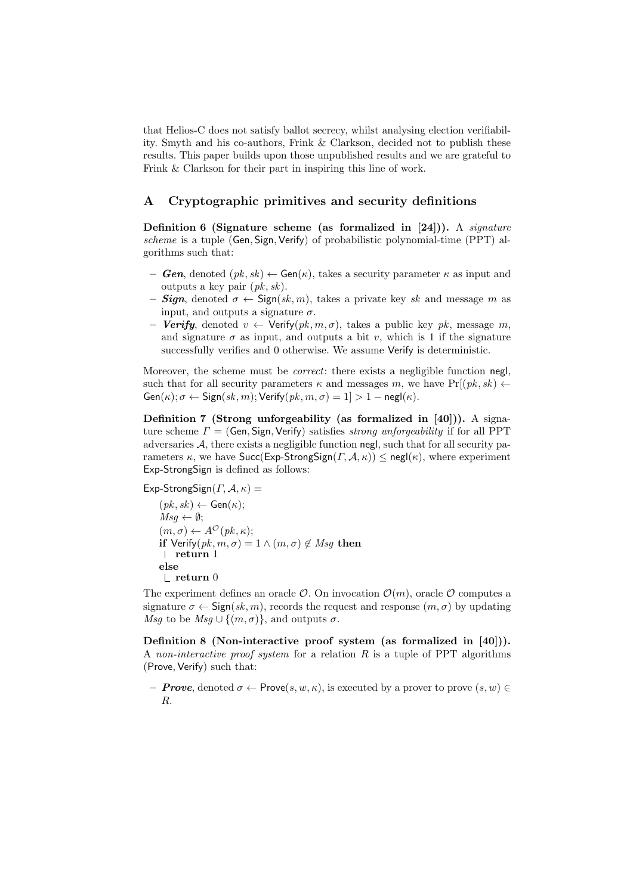that Helios-C does not satisfy ballot secrecy, whilst analysing election verifiability. Smyth and his co-authors, Frink & Clarkson, decided not to publish these results. This paper builds upon those unpublished results and we are grateful to Frink & Clarkson for their part in inspiring this line of work.

### A Cryptographic primitives and security definitions

Definition 6 (Signature scheme (as formalized in  $[24]$ )). A *signature* scheme is a tuple (Gen, Sign, Verify) of probabilistic polynomial-time (PPT) algorithms such that:

- **Gen,** denoted  $(pk, sk) \leftarrow Gen(\kappa)$ , takes a security parameter  $\kappa$  as input and outputs a key pair  $(pk, sk)$ .
- **Sign**, denoted  $\sigma \leftarrow$  Sign(sk, m), takes a private key sk and message m as input, and outputs a signature  $\sigma$ .
- Verify, denoted  $v \leftarrow$  Verify $(pk, m, \sigma)$ , takes a public key pk, message m, and signature  $\sigma$  as input, and outputs a bit v, which is 1 if the signature successfully verifies and 0 otherwise. We assume Verify is deterministic.

Moreover, the scheme must be *correct*: there exists a negligible function negl, such that for all security parameters  $\kappa$  and messages m, we have  $Pr[(pk, sk) \leftarrow$  $Gen(\kappa); \sigma \leftarrow Sign(sk, m); Verify(pk, m, \sigma) = 1] > 1 - negl(\kappa).$ 

Definition 7 (Strong unforgeability (as formalized in [40])). A signature scheme  $\Gamma = (Gen, Sign, Verify)$  satisfies *strong unforgeability* if for all PPT adversaries  $A$ , there exists a negligible function negl, such that for all security parameters  $\kappa$ , we have Succ(Exp-StrongSign( $\Gamma$ ,  $\mathcal{A}$ ,  $\kappa$ ))  $\leq$  negl( $\kappa$ ), where experiment Exp-StrongSign is defined as follows:

Exp-StrongSign( $\Gamma$ ,  $\mathcal{A}$ ,  $\kappa$ ) =

 $(pk, sk) \leftarrow Gen(\kappa);$  $Msq \leftarrow \emptyset;$  $(m, \sigma) \leftarrow A^{\mathcal{O}}(pk, \kappa);$ if Verify $(pk, m, \sigma) = 1 \wedge (m, \sigma) \notin Msg$  then return 1 else  $\mathrel{\mathop\mathrel{\mathop{\rule{.15pt}{0.05em}\rule{.15pt}{0.05em}}}}$  return  $0$ 

The experiment defines an oracle  $\mathcal{O}$ . On invocation  $\mathcal{O}(m)$ , oracle  $\mathcal{O}$  computes a signature  $\sigma \leftarrow \text{Sign}(sk, m)$ , records the request and response  $(m, \sigma)$  by updating Msg to be  $Msg \cup \{(m,\sigma)\}\)$ , and outputs  $\sigma$ .

Definition 8 (Non-interactive proof system (as formalized in [40])). A non-interactive proof system for a relation  $R$  is a tuple of PPT algorithms (Prove, Verify) such that:

– **Prove**, denoted  $\sigma \leftarrow \text{Prove}(s, w, \kappa)$ , is executed by a prover to prove  $(s, w) \in$ R.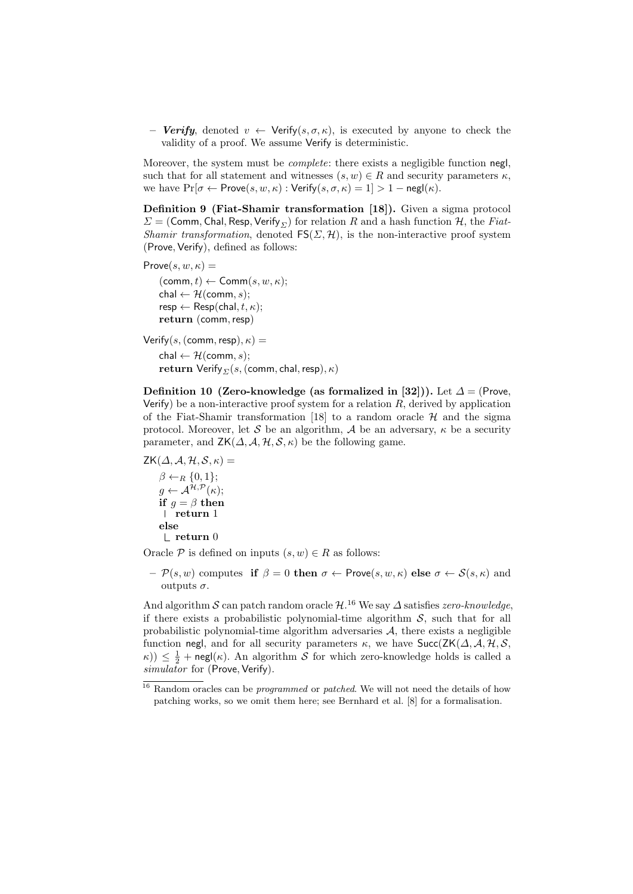**Verify**, denoted  $v \leftarrow \text{Verify}(s, \sigma, \kappa)$ , is executed by anyone to check the validity of a proof. We assume Verify is deterministic.

Moreover, the system must be *complete*: there exists a negligible function negl, such that for all statement and witnesses  $(s, w) \in R$  and security parameters  $\kappa$ , we have  $Pr[\sigma \leftarrow Prove(s, w, \kappa): \text{Verify}(s, \sigma, \kappa) = 1] > 1 - negl(\kappa).$ 

Definition 9 (Fiat-Shamir transformation [18]). Given a sigma protocol  $\Sigma = (Comm, Chal, Resp, Verify_{\Sigma})$  for relation R and a hash function H, the Fiat-Shamir transformation, denoted  $FS(\Sigma, \mathcal{H})$ , is the non-interactive proof system (Prove, Verify), defined as follows:

```
Prove(s, w, \kappa) =
(\text{comm}, t) \leftarrow \text{Comm}(s, w, \kappa);chal \leftarrow H(comm, s);
resp \leftarrow Resp(chal, t, \kappa);return (comm, resp)
```

```
Verify(s, (comm, resp), \kappa) =
chal \leftarrow H(comm, s);
return Verify<sub>Σ</sub>(s, (comm, chal, resp), \kappa)
```
Definition 10 (Zero-knowledge (as formalized in [32])). Let  $\Delta = (Prove,$ Verify) be a non-interactive proof system for a relation  $R$ , derived by application of the Fiat-Shamir transformation [18] to a random oracle  $H$  and the sigma protocol. Moreover, let S be an algorithm, A be an adversary,  $\kappa$  be a security parameter, and  $ZK(\Delta, \mathcal{A}, \mathcal{H}, \mathcal{S}, \kappa)$  be the following game.

```
ZK(\Delta, \mathcal{A}, \mathcal{H}, \mathcal{S}, \kappa) =\beta \leftarrow_R \{0, 1\};g \leftarrow \mathcal{A}^{\mathcal{H}, \mathcal{P}}(\kappa);if g = \beta then
       return 1
     else
        \mathrel{\mathop\mathrel{\mathop{\rule{.15pt}{0.05em}\rule{.15pt}{0.05em}}}} L return 0
```
Oracle P is defined on inputs  $(s, w) \in R$  as follows:

 $-\mathcal{P}(s, w)$  computes if  $\beta = 0$  then  $\sigma \leftarrow$  Prove $(s, w, \kappa)$  else  $\sigma \leftarrow \mathcal{S}(s, \kappa)$  and outputs  $\sigma$ .

And algorithm S can patch random oracle  $\mathcal{H}$ .<sup>16</sup> We say  $\Delta$  satisfies *zero-knowledge*, if there exists a probabilistic polynomial-time algorithm  $S$ , such that for all probabilistic polynomial-time algorithm adversaries  $A$ , there exists a negligible function negl, and for all security parameters  $\kappa$ , we have  $\text{Succ}(ZK(\Delta, \mathcal{A}, \mathcal{H}, \mathcal{S}, \mathcal{A}))$  $k(\kappa)$   $\leq$   $\frac{1}{2}$  + negl( $\kappa$ ). An algorithm S for which zero-knowledge holds is called a  $simulation$  for (Prove, Verify).

<sup>&</sup>lt;sup>16</sup> Random oracles can be *programmed* or *patched*. We will not need the details of how patching works, so we omit them here; see Bernhard et al. [8] for a formalisation.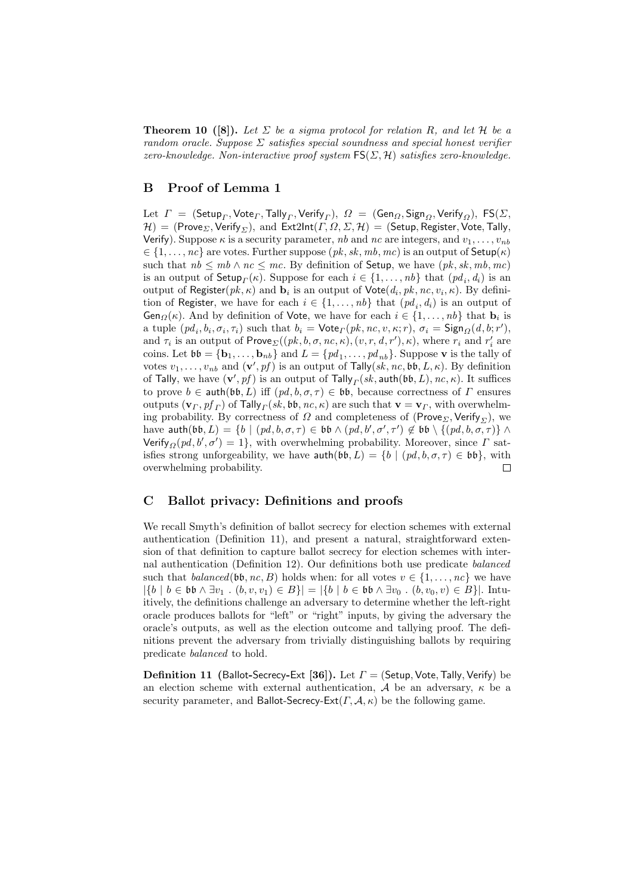**Theorem 10** ([8]). Let  $\Sigma$  be a sigma protocol for relation R, and let H be a random oracle. Suppose  $\Sigma$  satisfies special soundness and special honest verifier zero-knowledge. Non-interactive proof system  $FS(\Sigma, \mathcal{H})$  satisfies zero-knowledge.

### B Proof of Lemma 1

Let  $\varGamma~=~({\sf Setup}_\varGamma, {\sf Vect}$ , Tally $_\varGamma, {\sf Verify}_\varGamma) ,\ \varOmega~=~({\sf Gen}_\varOmega, {\sf Sign}_\varOmega, {\sf Verify}_\varOmega),\ {\sf FS}(\varSigma,$  $H) = (Prove_{\Sigma}, Verify_{\Sigma}),$  and  $Ext2Int(\Gamma, \Omega, \Sigma, \mathcal{H}) = (Setup, Register, Note, Tally,$ Verify). Suppose  $\kappa$  is a security parameter, nb and nc are integers, and  $v_1, \ldots, v_{nb}$  $\in \{1, \ldots, nc\}$  are votes. Further suppose  $(pk, sk, mb, mc)$  is an output of  $\mathsf{Setup}(\kappa)$ such that  $nb \le mb \wedge nc \le mc$ . By definition of **Setup**, we have  $(pk, sk, mb, mc)$ is an output of  $\mathsf{Setup}_{\Gamma}(\kappa)$ . Suppose for each  $i \in \{1, \ldots, nb\}$  that  $(pd_i, d_i)$  is an output of Register $(pk, \kappa)$  and  $\mathbf{b}_i$  is an output of  $\mathsf{Vote}(d_i, pk, nc, v_i, \kappa)$ . By definition of Register, we have for each  $i \in \{1, \ldots, nb\}$  that  $(pd_i, d_i)$  is an output of **Gen** $Q(\kappa)$ . And by definition of Vote, we have for each  $i \in \{1, ..., nb\}$  that  $\mathbf{b}_i$  is a tuple  $(pd_i, b_i, \sigma_i, \tau_i)$  such that  $b_i = \text{Vote}_{\Gamma}(pk, nc, v, \kappa; r)$ ,  $\sigma_i = \text{Sign}_{\Omega}(d, b; r')$ , and  $\tau_i$  is an output of  $Prove_{\Sigma}((pk, b, \sigma, nc, \kappa), (v, r, d, r'), \kappa)$ , where  $r_i$  and  $r'_i$  are coins. Let  $\mathfrak{bb} = {\mathbf{b}_1, \ldots, \mathbf{b}_{nb}}$  and  $L = \{pd_1, \ldots, pd_{nb}\}$ . Suppose **v** is the tally of votes  $v_1, \ldots, v_{nb}$  and  $(\mathbf{v}', pf)$  is an output of Tally $(sk, nc, \mathfrak{bb}, L, \kappa)$ . By definition of Tally, we have  $(\mathbf{v}', pf)$  is an output of Tally $_{\mathit{\Gamma}}(sk, \mathsf{auth}(\mathfrak{bb}, L), \mathit{nc}, \kappa)$ . It suffices to prove  $b \in \text{auth}(\mathfrak{bb}, L)$  iff  $(pd, b, \sigma, \tau) \in \mathfrak{bb}$ , because correctness of  $\Gamma$  ensures outputs  $(\mathbf{v}_\Gamma, pf_\Gamma)$  of  $\mathsf{Tally}_\Gamma(sk, \mathfrak{bb}, nc, \kappa)$  are such that  $\mathbf{v} = \mathbf{v}_\Gamma$ , with overwhelming probability. By correctness of  $\Omega$  and completeness of (Prove<sub> $\Sigma$ </sub>, Verify<sub> $\Sigma$ </sub>), we have  $\mathsf{auth}(\mathfrak{bb},L) = \{b \mid (pd, b, \sigma, \tau) \in \mathfrak{bb} \land (pd, b', \sigma', \tau') \notin \mathfrak{bb} \setminus \{(pd, b, \sigma, \tau)\} \land$ Verify<sub>Ω</sub>( $pd, b', \sigma'$ ) = 1}, with overwhelming probability. Moreover, since  $\Gamma$  satisfies strong unforgeability, we have  $\text{auth}(\mathfrak{bb}, L) = \{b \mid (pd, b, \sigma, \tau) \in \mathfrak{bb}\},\$ with overwhelming probability.  $\Box$ 

### C Ballot privacy: Definitions and proofs

We recall Smyth's definition of ballot secrecy for election schemes with external authentication (Definition 11), and present a natural, straightforward extension of that definition to capture ballot secrecy for election schemes with internal authentication (Definition 12). Our definitions both use predicate balanced such that *balanced*( $\mathfrak{bb}, n_c, B$ ) holds when: for all votes  $v \in \{1, ..., nc\}$  we have  $|\{b \mid b \in \mathfrak{bb} \land \exists v_1 \cdot (b, v, v_1) \in B\}| = |\{b \mid b \in \mathfrak{bb} \land \exists v_0 \cdot (b, v_0, v) \in B\}|.$  Intuitively, the definitions challenge an adversary to determine whether the left-right oracle produces ballots for "left" or "right" inputs, by giving the adversary the oracle's outputs, as well as the election outcome and tallying proof. The definitions prevent the adversary from trivially distinguishing ballots by requiring predicate balanced to hold.

**Definition 11** (Ballot-Secrecy-Ext [36]). Let  $\Gamma$  = (Setup, Vote, Tally, Verify) be an election scheme with external authentication,  $A$  be an adversary,  $\kappa$  be a security parameter, and Ballot-Secrecy-Ext( $\Gamma$ ,  $\mathcal{A}$ ,  $\kappa$ ) be the following game.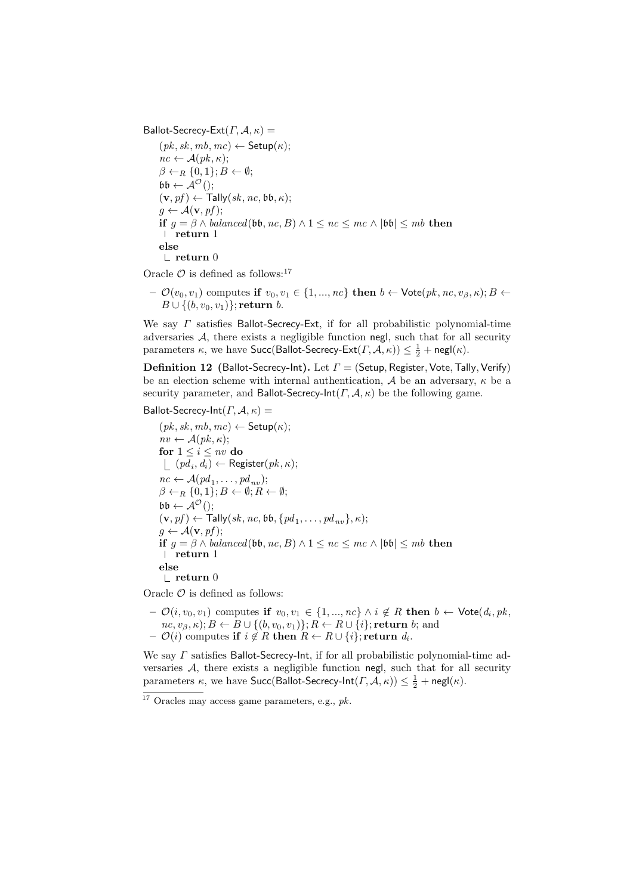Ballot-Secrecy-Ext $(\Gamma, \mathcal{A}, \kappa)$  =

 $(pk, sk, mb, mc) \leftarrow$  Setup $(\kappa);$  $nc \leftarrow \mathcal{A}(pk, \kappa);$  $\beta \leftarrow_R \{0,1\}; B \leftarrow \emptyset;$  $\mathfrak{bb} \leftarrow \mathcal{A}^{\mathcal{O}}($ ;  $(v, pf) \leftarrow \textsf{Tally}(sk, nc, \mathfrak{bb}, \kappa);$  $g \leftarrow \mathcal{A}(\mathbf{v}, pf);$ if  $g = \beta \wedge balanced(\mathfrak{bb}, nc, B) \wedge 1 \leq nc \leq mc \wedge |\mathfrak{bb}| \leq mb$  then return 1 else  $\mathsf{\mathsf{L}}$  return 0

Oracle  $\mathcal O$  is defined as follows:<sup>17</sup>

 $\mathcal{O}(v_0, v_1)$  computes if  $v_0, v_1 \in \{1, ..., nc\}$  then  $b \leftarrow \text{Vote}(pk, nc, v_\beta, \kappa); B \leftarrow$  $B \cup \{(b, v_0, v_1)\}$ ; return b.

We say  $\Gamma$  satisfies Ballot-Secrecy-Ext, if for all probabilistic polynomial-time adversaries A, there exists a negligible function negl, such that for all security parameters  $\kappa$ , we have  $\mathsf{Succ}(\mathsf{Ballot\text{-}Secrecy\text{-}Ext}(\varGamma,\mathcal{A},\kappa)) \leq \frac{1}{2} + \mathsf{negl}(\kappa).$ 

**Definition 12** (Ballot-Secrecy-Int). Let  $\Gamma$  = (Setup, Register, Vote, Tally, Verify) be an election scheme with internal authentication, A be an adversary,  $\kappa$  be a security parameter, and Ballot-Secrecy-Int( $\Gamma$ ,  $\mathcal{A}$ ,  $\kappa$ ) be the following game.

#### Ballot-Secrecy-Int $(\Gamma, \mathcal{A}, \kappa)$  =

 $(pk, sk, mb, mc) \leftarrow$  Setup $(\kappa);$  $nv \leftarrow \mathcal{A}(pk, \kappa);$ for  $1 \leq i \leq nv$  do  $(pd_i, d_i) \leftarrow \text{ Register}(pk, \kappa);$  $nc \leftarrow \mathcal{A}(pd_1, \ldots, pd_{nv});$  $\beta \leftarrow_R \{0, 1\}; B \leftarrow \emptyset; R \leftarrow \emptyset;$  $\mathfrak{bb} \leftarrow \mathcal{A}^{\mathcal{O}}$ ();  $(\mathbf{v}, pf) \leftarrow \mathsf{Tally}(sk, nc, \mathfrak{bb}, \{pd_1, \ldots, pd_{nv}\}, \kappa);$  $q \leftarrow \mathcal{A}(\mathbf{v}, pf);$ if  $q = \beta \wedge balanced(b\mathfrak{b}, nc, B) \wedge 1 \leq nc \leq mc \wedge |b\mathfrak{b}| \leq mb$  then l return 1 else  $\mathsf{\mathsf{L}}$  return  $0$ 

Oracle  $\mathcal O$  is defined as follows:

 $\mathcal{O}(i, v_0, v_1)$  computes if  $v_0, v_1 \in \{1, ..., nc\} \land i \notin R$  then  $b \leftarrow \mathsf{Vote}(d_i, pk, o)$  $nc, v_{\beta}, \kappa); B \leftarrow B \cup \{(b, v_0, v_1)\}; R \leftarrow R \cup \{i\};$  return b; and  $\mathcal{O}(i) \text{ computes } \textbf{if} \,\, i \not \in R \textbf{ then } R \leftarrow R \cup \{i\}; \textbf{return } d_i.$ 

We say  $\Gamma$  satisfies Ballot-Secrecy-Int, if for all probabilistic polynomial-time adversaries  $A$ , there exists a negligible function negl, such that for all security parameters  $\kappa$ , we have Succ(Ballot-Secrecy-Int $(\Gamma, \mathcal{A}, \kappa) \geq \frac{1}{2} + \mathsf{negl}(\kappa)$ .

 $\overline{17}$  Oracles may access game parameters, e.g., pk.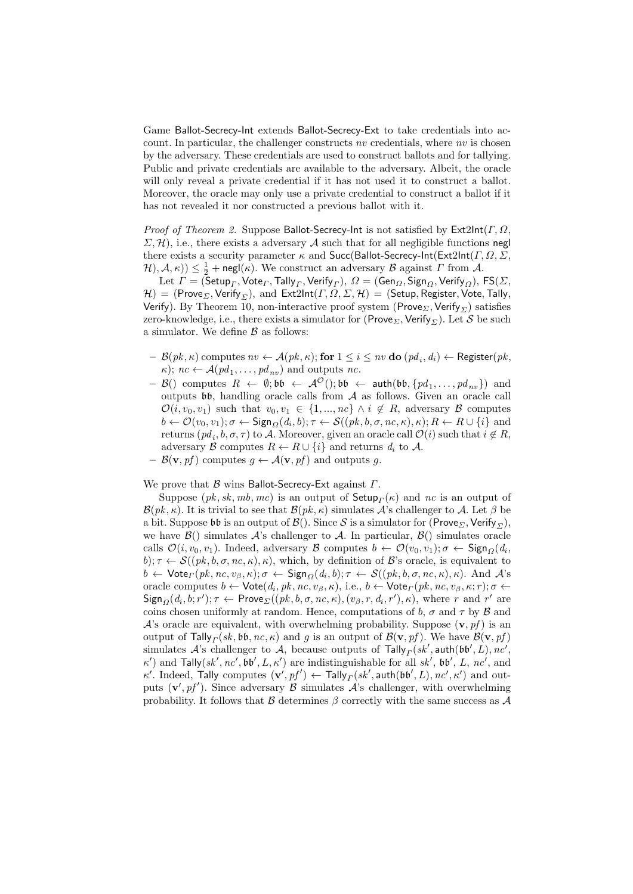Game Ballot-Secrecy-Int extends Ballot-Secrecy-Ext to take credentials into account. In particular, the challenger constructs nv credentials, where nv is chosen by the adversary. These credentials are used to construct ballots and for tallying. Public and private credentials are available to the adversary. Albeit, the oracle will only reveal a private credential if it has not used it to construct a ballot. Moreover, the oracle may only use a private credential to construct a ballot if it has not revealed it nor constructed a previous ballot with it.

*Proof of Theorem 2.* Suppose Ballot-Secrecy-Int is not satisfied by  $Ext2Int(\Gamma, \Omega)$ ,  $\Sigma$ , H), i.e., there exists a adversary A such that for all negligible functions negl there exists a security parameter  $\kappa$  and Succ(Ballot-Secrecy-Int(Ext2Int( $\Gamma$ ,  $\Omega$ ,  $\Sigma$ ,  $H(A, \kappa) \leq \frac{1}{2} + \mathsf{negl}(\kappa)$ . We construct an adversary  $\mathcal B$  against  $\Gamma$  from  $\mathcal A$ .

 ${\rm Let}\,\, \varGamma=({\sf Setup}_\varGamma, {\sf Vote}_\varGamma, {\sf Tally}_\varGamma, {\sf Verify}_\varGamma),\, \varOmega=({\sf Gen}_\varOmega, {\sf Sign}_\varOmega, {\sf Verify}_\varOmega),\, {\sf FS}(\varSigma,$  $H) = (Prove_{\Sigma}, Verify_{\Sigma}),$  and  $Ext2Int(\Gamma, \Omega, \Sigma, \mathcal{H}) = (Setup, Register, Note, Tally,$ Verify). By Theorem 10, non-interactive proof system (Prove<sub>Σ</sub>, Verify<sub>Σ</sub>) satisfies zero-knowledge, i.e., there exists a simulator for (Prove<sub>Σ</sub>, Verify<sub>Σ</sub>). Let S be such a simulator. We define  $\beta$  as follows:

- $\ \mathcal{B}(pk, \kappa)$  computes  $nv \leftarrow \mathcal{A}(pk, \kappa);$  for  $1 \leq i \leq nv$  do  $(pd_i, d_i) \leftarrow \mathsf{Register}(pk,$  $\kappa$ );  $nc \leftarrow \mathcal{A}(pd_1, \ldots, pd_{nv})$  and outputs nc.
- $-$  B() computes  $R \leftarrow \emptyset$ ; bb  $\leftarrow$   $\mathcal{A}^{\mathcal{O}}($ ; bb  $\leftarrow$  auth(bb,  $\{pd_1, \ldots, pd_{nv}\}$ ) and outputs  $\mathfrak{bb}$ , handling oracle calls from  $A$  as follows. Given an oracle call  $\mathcal{O}(i, v_0, v_1)$  such that  $v_0, v_1 \in \{1, ..., nc\} \land i \notin R$ , adversary  $\mathcal{B}$  computes  $b \leftarrow \mathcal{O}(v_0, v_1); \sigma \leftarrow \mathsf{Sign}_{\Omega}(d_i, b); \tau \leftarrow \mathcal{S}((pk, b, \sigma, nc, \kappa), \kappa); R \leftarrow R \cup \{i\}$  and returns  $(pd_i, b, \sigma, \tau)$  to A. Moreover, given an oracle call  $\mathcal{O}(i)$  such that  $i \notin R$ , adversary B computes  $R \leftarrow R \cup \{i\}$  and returns  $d_i$  to A.
- $\mathcal{B}(\mathbf{v}, \textit{pf})$  computes  $q \leftarrow \mathcal{A}(\mathbf{v}, \textit{pf})$  and outputs q.

We prove that  $\beta$  wins Ballot-Secrecy-Ext against  $\Gamma$ .

Suppose  $(pk, sk, mb, mc)$  is an output of  $\mathsf{Setup}_\Gamma(\kappa)$  and nc is an output of  $\mathcal{B}(pk, \kappa)$ . It is trivial to see that  $\mathcal{B}(pk, \kappa)$  simulates A's challenger to A. Let  $\beta$  be a bit. Suppose bb is an output of  $\mathcal{B}()$ . Since S is a simulator for (Prove<sub> $\Sigma$ </sub>, Verify<sub> $\Sigma$ </sub>), we have  $\mathcal{B}()$  simulates  $\mathcal{A}'$ 's challenger to  $\mathcal{A}$ . In particular,  $\mathcal{B}()$  simulates oracle calls  $\mathcal{O}(i, v_0, v_1)$ . Indeed, adversary  $\mathcal{B}$  computes  $b \leftarrow \mathcal{O}(v_0, v_1); \sigma \leftarrow \mathsf{Sign}_{\Omega}(d_i,$ b);  $\tau \leftarrow \mathcal{S}((pk, b, \sigma, nc, \kappa), \kappa)$ , which, by definition of  $\mathcal{B}$ 's oracle, is equivalent to  $b \leftarrow \mathsf{Vote}_{\Gamma}(pk, nc, v_{\beta}, \kappa); \sigma \leftarrow \mathsf{Sign}_{\Omega}(d_i, b); \tau \leftarrow \mathcal{S}((pk, b, \sigma, nc, \kappa), \kappa).$  And  $\mathcal{A}$ 's oracle computes  $b \leftarrow \mathsf{Vote}(d_i, pk, nc, v_\beta, \kappa), \text{ i.e., } b \leftarrow \mathsf{Vote}_{\Gamma}(pk, nc, v_\beta, \kappa; r); \sigma \leftarrow$  $\mathsf{Sign}_{\Omega}(d_i, b; r'); \tau \leftarrow \mathsf{Prove}_{\Sigma}((pk, b, \sigma, nc, \kappa), (v_{\beta}, r, d_i, r'), \kappa)$ , where r and r' are coins chosen uniformly at random. Hence, computations of b,  $\sigma$  and  $\tau$  by  $\beta$  and A's oracle are equivalent, with overwhelming probability. Suppose  $(v, pf)$  is an output of  $\mathsf{Tally}_\Gamma(sk, \mathfrak{bb}, nc, \kappa)$  and g is an output of  $\mathcal{B}(\mathbf{v}, pf)$ . We have  $\mathcal{B}(\mathbf{v}, pf)$ simulates A's challenger to A, because outputs of  $\textsf{Tally}_{\Gamma}(sk', \textsf{auth}(\mathfrak{bb}', L), nc',$  $\kappa'$ ) and Tally(sk', nc', bb', L, κ') are indistinguishable for all sk', bb', L, nc', and  $\kappa'.$  Indeed, Tally computes  $(\mathbf{v}', pf') \leftarrow \mathsf{Tally}_\Gamma(\mathit{sk}', \mathsf{auth}(\mathfrak{bb}', L), \mathit{nc}', \kappa')$  and outputs  $(v', pf')$ . Since adversary  $\beta$  simulates  $\mathcal{A}$ 's challenger, with overwhelming probability. It follows that  $\beta$  determines  $\beta$  correctly with the same success as  $\mathcal A$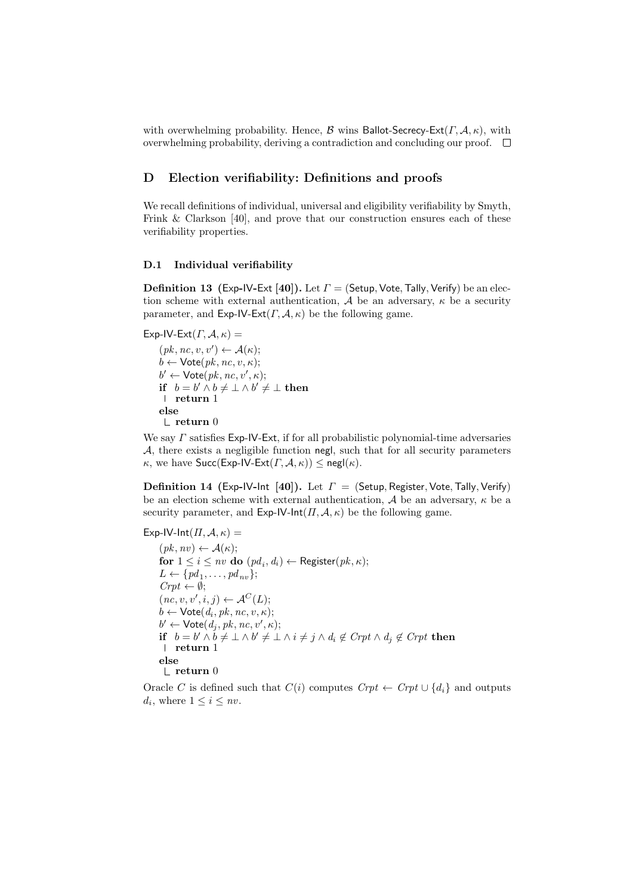with overwhelming probability. Hence,  $\beta$  wins Ballot-Secrecy-Ext( $\Gamma$ ,  $\mathcal{A}$ ,  $\kappa$ ), with overwhelming probability, deriving a contradiction and concluding our proof.  $\Box$ 

### D Election verifiability: Definitions and proofs

We recall definitions of individual, universal and eligibility verifiability by Smyth, Frink & Clarkson [40], and prove that our construction ensures each of these verifiability properties.

#### D.1 Individual verifiability

**Definition 13** (Exp-IV-Ext [40]). Let  $\Gamma$  = (Setup, Vote, Tally, Verify) be an election scheme with external authentication, A be an adversary,  $\kappa$  be a security parameter, and  $Exp-IV-Ext(\Gamma, \mathcal{A}, \kappa)$  be the following game.

Exp-IV-Ext $(\Gamma, \mathcal{A}, \kappa)$  =

 $(pk, nc, v, v') \leftarrow \mathcal{A}(\kappa);$  $b \leftarrow \mathsf{Vote}(pk, nc, v, \kappa);$  $b' \leftarrow \mathsf{Vote}(pk, nc, v', \kappa);$ if  $b = b' \wedge b \neq \perp \wedge b' \neq \perp$  then return 1 else  $\mathsf{\mathsf{L}}$  return 0

We say  $\Gamma$  satisfies Exp-IV-Ext, if for all probabilistic polynomial-time adversaries  $A$ , there exists a negligible function negl, such that for all security parameters  $\kappa$ , we have Succ(Exp-IV-Ext( $\Gamma$ ,  $\mathcal{A}$ ,  $\kappa$ ))  $\leq$  negl( $\kappa$ ).

Definition 14 (Exp-IV-Int [40]). Let  $\Gamma =$  (Setup, Register, Vote, Tally, Verify) be an election scheme with external authentication,  $A$  be an adversary,  $\kappa$  be a security parameter, and  $Exp-IV-Int(\Pi, \mathcal{A}, \kappa)$  be the following game.

Exp-IV-Int $(\Pi, \mathcal{A}, \kappa)$  =  $(pk, nv) \leftarrow \mathcal{A}(\kappa);$ for  $1 \leq i \leq nv$  do  $(pd_i,d_i) \leftarrow$  Register $(pk,\kappa);$  $L \leftarrow \{pd_1, \ldots, pd_{nv}\};$  $Crt \leftarrow \emptyset;$  $(nc, v, v', i, j) \leftarrow \mathcal{A}^C(L);$  $b \leftarrow \mathsf{Vote}(d_i, pk, nc, v, \kappa);$  $b' \leftarrow \textsf{Vote}(d_j, pk, nc, v', \kappa);$ if  $b = b' \wedge b \neq \perp \wedge b' \neq \perp \wedge i \neq j \wedge d_i \not\in \text{Crr}(b \wedge d_j \not\in \text{Crr}(b \text{ then } b')$ return 1 else  $\mathrel{\sqsubset}$ return 0

Oracle C is defined such that  $C(i)$  computes  $Crt \leftarrow Crt \cup \{d_i\}$  and outputs  $d_i$ , where  $1 \leq i \leq nv$ .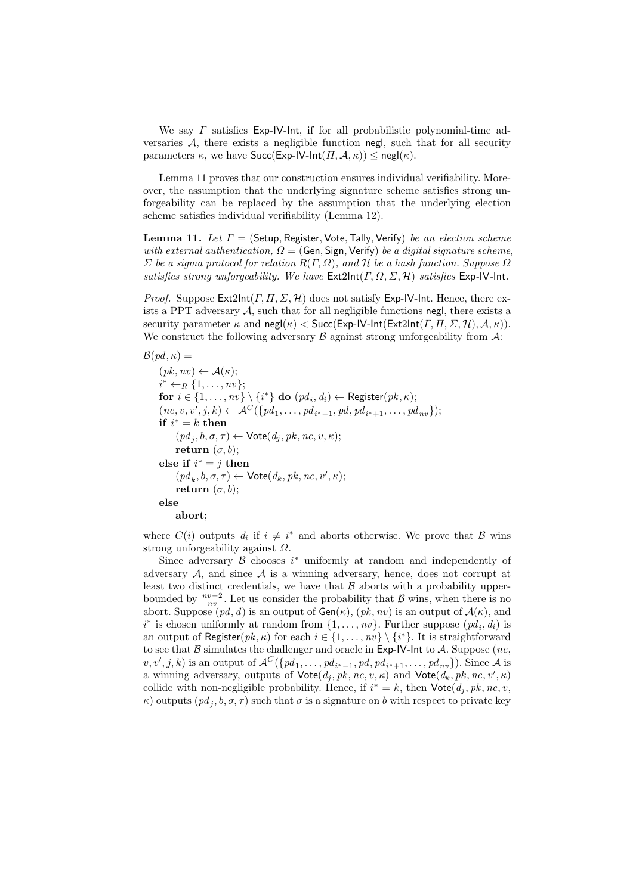We say  $\Gamma$  satisfies Exp-IV-Int, if for all probabilistic polynomial-time adversaries  $A$ , there exists a negligible function negl, such that for all security parameters  $\kappa$ , we have  $Succ(Exp-IV-Int(\Pi, \mathcal{A}, \kappa)) \leq negl(\kappa)$ .

Lemma 11 proves that our construction ensures individual verifiability. Moreover, the assumption that the underlying signature scheme satisfies strong unforgeability can be replaced by the assumption that the underlying election scheme satisfies individual verifiability (Lemma 12).

**Lemma 11.** Let  $\Gamma =$  (Setup, Register, Vote, Tally, Verify) be an election scheme with external authentication,  $\Omega = ($ Gen, Sign, Verify) be a digital signature scheme,  $\Sigma$  be a sigma protocol for relation  $R(\Gamma,\Omega)$ , and H be a hash function. Suppose  $\Omega$ satisfies strong unforgeability. We have  $\textsf{Ext2Int}(\Gamma,\Omega,\Sigma,\mathcal{H})$  satisfies  $\textsf{Exp-IV-Int}.$ 

*Proof.* Suppose  $Ext2Int(\Gamma, \Pi, \Sigma, \mathcal{H})$  does not satisfy Exp-IV-Int. Hence, there exists a PPT adversary  $A$ , such that for all negligible functions negl, there exists a security parameter  $\kappa$  and  $\mathsf{negl}(\kappa) < \mathsf{Succ}(\mathsf{Exp-lV-Int}(\mathsf{Ext2Int}(T, \Pi, \Sigma, \mathcal{H}), \mathcal{A}, \kappa)).$ We construct the following adversary  $\beta$  against strong unforgeability from  $\mathcal{A}$ :

 $\mathcal{B}(pd,\kappa) =$  $(pk, nv) \leftarrow \mathcal{A}(\kappa);$  $i^* \leftarrow_R \{1, \ldots, nv\};$ for  $i \in \{1, \ldots, nv\} \setminus \{i^*\}$  do  $(pd_i, d_i) \leftarrow \text{Register}(pk, \kappa);$  $(nc, v, v', j, k) \leftarrow \mathcal{A}^C(\{pd_1, \ldots, pd_{i^*-1}, pd, pd_{i^*+1}, \ldots, pd_{nv}\});$ if  $i^* = k$  then  $(pd_j, b, \sigma, \tau) \leftarrow \mathsf{Vote}(d_j, pk, nc, v, \kappa);$ return  $(\sigma, b)$ ; else if  $i^* = j$  then  $\label{eq:3} (pd_k,b,\sigma,\tau) \leftarrow \mathsf{Vote}(d_k,pk,nc,v',\kappa);$ return  $(\sigma, b)$ ; else abort;

where  $C(i)$  outputs  $d_i$  if  $i \neq i^*$  and aborts otherwise. We prove that  $\mathcal{B}$  wins strong unforgeability against  $\Omega$ .

Since adversary  $\beta$  chooses  $i^*$  uniformly at random and independently of adversary  $A$ , and since  $A$  is a winning adversary, hence, does not corrupt at least two distinct credentials, we have that  $\beta$  aborts with a probability upperbounded by  $\frac{nv-2}{nv}$ . Let us consider the probability that B wins, when there is no abort. Suppose  $(pd, d)$  is an output of  $Gen(\kappa)$ ,  $(pk, nv)$  is an output of  $A(\kappa)$ , and  $i^*$  is chosen uniformly at random from  $\{1, \ldots, nv\}$ . Further suppose  $(pd_i, d_i)$  is an output of Register( $pk, \kappa$ ) for each  $i \in \{1, \ldots, nv\} \setminus \{i^*\}$ . It is straightforward to see that  $\beta$  simulates the challenger and oracle in Exp-IV-lnt to A. Suppose (nc,  $v, v', j, k$  is an output of  $\mathcal{A}^C(\{pd_1, \ldots, pd_{i^*-1}, pd, pd_{i^*+1}, \ldots, pd_{nv}\})$ . Since A is a winning adversary, outputs of  $\mathsf{Vote}(d_j, pk, nc, v, \kappa)$  and  $\mathsf{Vote}(d_k, pk, nc, v', \kappa)$ collide with non-negligible probability. Hence, if  $i^* = k$ , then  $\mathsf{Vote}(d_j, pk, nc, v,$  $\kappa$ ) outputs  $(pd_j, b, \sigma, \tau)$  such that  $\sigma$  is a signature on b with respect to private key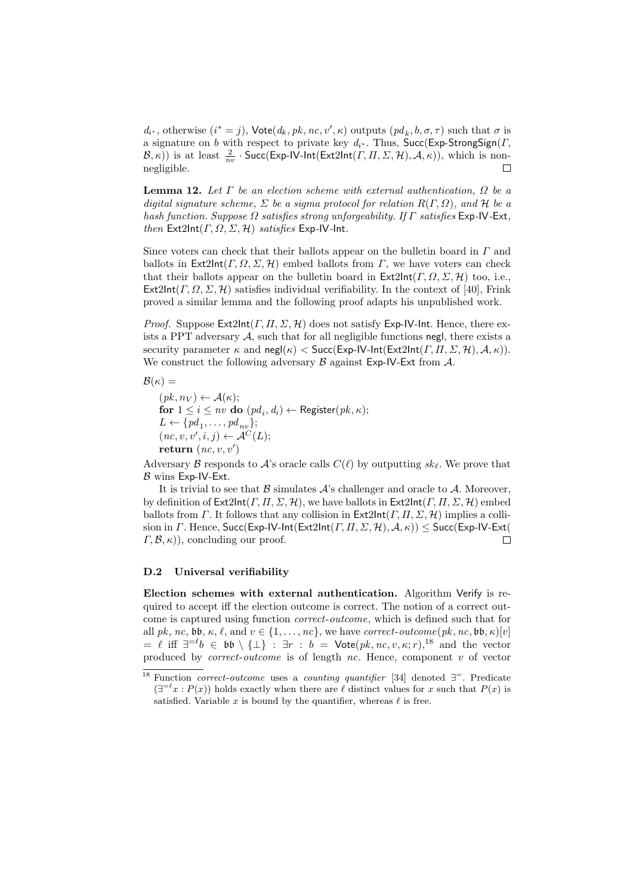$d_{i^*}$ , otherwise  $(i^* = j)$ ,  $\mathsf{Vote}(d_k, pk, nc, v', \kappa)$  outputs  $(pd_k, b, \sigma, \tau)$  such that  $\sigma$  is a signature on b with respect to private key  $d_{i^*}$ . Thus, Succ(Exp-StrongSign(T,  $(\mathcal{B},\kappa))$  is at least  $\frac{2}{nv}$  · Succ(Exp-IV-Int(Ext2Int(T,  $\Pi$ ,  $\Sigma$ ,  $(\mathcal{H})$ ),  $(\mathcal{A},\kappa)$ ), which is nonnegligible.  $\Box$ 

**Lemma 12.** Let  $\Gamma$  be an election scheme with external authentication,  $\Omega$  be a digital signature scheme,  $\Sigma$  be a sigma protocol for relation  $R(\Gamma,\Omega)$ , and  $\mathcal H$  be a hash function. Suppose  $\Omega$  satisfies strong unforgeability. If  $\Gamma$  satisfies Exp-IV-Ext, then  $Ext2Int(\Gamma, \Omega, \Sigma, \mathcal{H})$  satisfies Exp-IV-Int.

Since voters can check that their ballots appear on the bulletin board in  $\Gamma$  and ballots in  $Ext2Int(\Gamma, \Omega, \Sigma, \mathcal{H})$  embed ballots from  $\Gamma$ , we have voters can check that their ballots appear on the bulletin board in  $\mathsf{Ext2Int}(\Gamma, \Omega, \Sigma, \mathcal{H})$  too, i.e.,  $Ext2Int(\Gamma, \Omega, \Sigma, \mathcal{H})$  satisfies individual verifiability. In the context of [40], Frink proved a similar lemma and the following proof adapts his unpublished work.

*Proof.* Suppose  $Ext2Int(\Gamma, \Pi, \Sigma, \mathcal{H})$  does not satisfy Exp-IV-Int. Hence, there exists a PPT adversary  $\mathcal A$ , such that for all negligible functions negl, there exists a security parameter  $\kappa$  and  $\text{negl}(\kappa) < \text{Succ}(\text{Exp-IV-Int}(\text{Ext}2Int(\Gamma, \Pi, \Sigma, \mathcal{H}), \mathcal{A}, \kappa)).$ We construct the following adversary  $\beta$  against Exp-IV-Ext from  $\mathcal{A}$ .

 $\mathcal{B}(\kappa) =$ 

 $(pk, n_V) \leftarrow \mathcal{A}(\kappa);$ for  $1 \leq i \leq nv$  do  $(pd_i,d_i) \leftarrow$  Register $(pk,\kappa);$  $L \leftarrow \{pd_1, \ldots, pd_{nv}\};$  $(nc, v, v', i, j) \leftarrow \mathcal{A}^C(L);$ return  $(nc, v, v')$ 

Adversary B responds to A's oracle calls  $C(\ell)$  by outputting  $sk_{\ell}$ . We prove that  $\beta$  wins Exp-IV-Ext.

It is trivial to see that  $\beta$  simulates  $\mathcal{A}$ 's challenger and oracle to  $\mathcal{A}$ . Moreover, by definition of  $\mathsf{Ext2Int}(F, \Pi, \Sigma, \mathcal{H})$ , we have ballots in  $\mathsf{Ext2Int}(F, \Pi, \Sigma, \mathcal{H})$  embed ballots from Γ. It follows that any collision in  $\textsf{Ext2Int}(F, \Pi, \Sigma, \mathcal{H})$  implies a collision in  $\Gamma$ . Hence, Succ(Exp-IV-Int(Ext2Int( $\Gamma$ ,  $\Pi$ ,  $\Sigma$ ,  $\mathcal{H}$ ),  $\mathcal{A}$ ,  $\kappa$ ))  $\leq$  Succ(Exp-IV-Ext(  $\Box$  $(\Gamma, \mathcal{B}, \kappa)$ , concluding our proof.

#### D.2 Universal verifiability

Election schemes with external authentication. Algorithm Verify is required to accept iff the election outcome is correct. The notion of a correct outcome is captured using function correct-outcome, which is defined such that for all pk, nc,  $\mathfrak{bb}, \kappa, \ell, \text{and } v \in \{1, \ldots, nc\}$ , we have correct-outcome $(pk, nc, \mathfrak{bb}, \kappa)[v]$  $= \ell$  iff  $\exists^{= \ell} b \in \mathfrak{bb} \setminus \{\bot\} : \exists r : b = \mathsf{Vote}(pk, nc, v, \kappa; r),^{18}$  and the vector produced by *correct-outcome* is of length  $nc$ . Hence, component v of vector

<sup>&</sup>lt;sup>18</sup> Function *correct-outcome* uses a *counting quantifier* [34] denoted  $\exists^{-}$ . Predicate  $(\exists^{=\ell} x : P(x))$  holds exactly when there are  $\ell$  distinct values for x such that  $P(x)$  is satisfied. Variable x is bound by the quantifier, whereas  $\ell$  is free.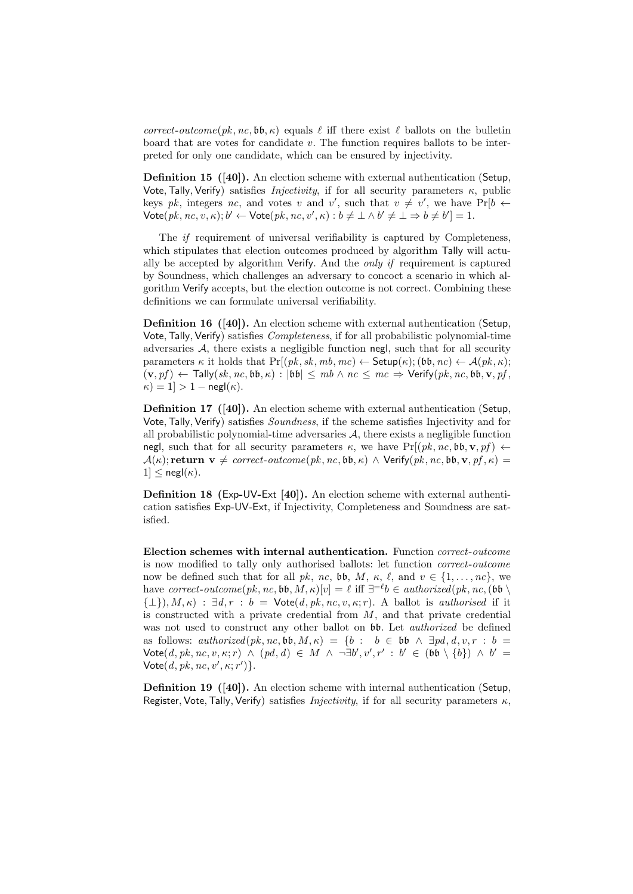correct-outcome( $pk, nc, bb, \kappa$ ) equals  $\ell$  iff there exist  $\ell$  ballots on the bulletin board that are votes for candidate  $v$ . The function requires ballots to be interpreted for only one candidate, which can be ensured by injectivity.

Definition 15 ([40]). An election scheme with external authentication (Setup, Vote, Tally, Verify) satisfies *Injectivity*, if for all security parameters  $\kappa$ , public keys pk, integers nc, and votes v and v', such that  $v \neq v'$ , we have  $Pr[b \leftarrow$  $\mathsf{Vote}(pk, nc, v, \kappa); b' \leftarrow \mathsf{Vote}(pk, nc, v', \kappa): b \neq \bot \wedge b' \neq \bot \Rightarrow b \neq b'] = 1.$ 

The if requirement of universal verifiability is captured by Completeness, which stipulates that election outcomes produced by algorithm Tally will actually be accepted by algorithm Verify. And the *only if* requirement is captured by Soundness, which challenges an adversary to concoct a scenario in which algorithm Verify accepts, but the election outcome is not correct. Combining these definitions we can formulate universal verifiability.

Definition 16 ([40]). An election scheme with external authentication (Setup, Vote,Tally, Verify) satisfies Completeness, if for all probabilistic polynomial-time adversaries A, there exists a negligible function negl, such that for all security parameters  $\kappa$  it holds that  $Pr[(pk, sk, mb, mc) \leftarrow$  Setup $(\kappa)$ ; (bb, nc)  $\leftarrow$   $\mathcal{A}(pk, \kappa)$ ;  $(v, pf) \leftarrow \textsf{Tally}(sk, nc, bb, \kappa) : |bb| \leq mb \land nc \leq mc \Rightarrow \textsf{Verify}(pk, nc, bb, v, pf,$  $\kappa$ ) = 1] > 1 – negl( $\kappa$ ).

Definition 17 ([40]). An election scheme with external authentication (Setup, Vote, Tally, Verify) satisfies *Soundness*, if the scheme satisfies Injectivity and for all probabilistic polynomial-time adversaries  $A$ , there exists a negligible function negl, such that for all security parameters  $\kappa$ , we have Pr[ $(pk, nc, bb, v, pf) \leftarrow$  $\mathcal{A}(\kappa);$  return  $\mathbf{v} \neq correct\text{-}outcome(pk, nc, \mathfrak{bb}, \kappa) \wedge \text{Verify}(pk, nc, \mathfrak{bb}, \mathbf{v}, pf, \kappa) =$  $1] \leq$  negl $(\kappa)$ .

Definition 18 (Exp-UV-Ext [40]). An election scheme with external authentication satisfies Exp-UV-Ext, if Injectivity, Completeness and Soundness are satisfied.

Election schemes with internal authentication. Function correct-outcome is now modified to tally only authorised ballots: let function correct-outcome now be defined such that for all pk, nc, bb, M,  $\kappa$ ,  $\ell$ , and  $v \in \{1, ..., nc\}$ , we have correct-outcome(pk, nc, bb,  $M$ ,  $\kappa$ )[v] =  $\ell$  iff  $\exists^{=\ell} b \in \mathit{authorized}(pk, nc, (bb \setminus$  ${\{\perp\}}, M, \kappa)$  :  $\exists d, r : b = \text{Vote}(d, pk, nc, v, \kappa; r)$ . A ballot is *authorised* if it is constructed with a private credential from  $M$ , and that private credential was not used to construct any other ballot on  $\mathfrak{b}\mathfrak{b}$ . Let *authorized* be defined as follows:  $\alphauthorized(pk, nc, bb, M, \kappa) = \{b : b \in bb \land \exists pd, d, v, r : b =$  $\mathsf{Vote}(\mathit{d}, \mathit{pk}, \mathit{nc}, \mathit{v}, \kappa; r) \ \land \ (\mathit{pd}, \mathit{d}) \ \in \ M \ \land \ \neg \exists \mathit{b}', \mathit{v}', r' \ : \ \mathit{b}' \ \in \ (\mathfrak{bb} \setminus \{\mathit{b}\}) \ \land \ \mathit{b}' \ =$  $\mathsf{Vote}(d, pk, nc, v', \kappa; r')\}.$ 

Definition 19 ([40]). An election scheme with internal authentication (Setup, Register, Vote, Tally, Verify) satisfies *Injectivity*, if for all security parameters  $\kappa$ ,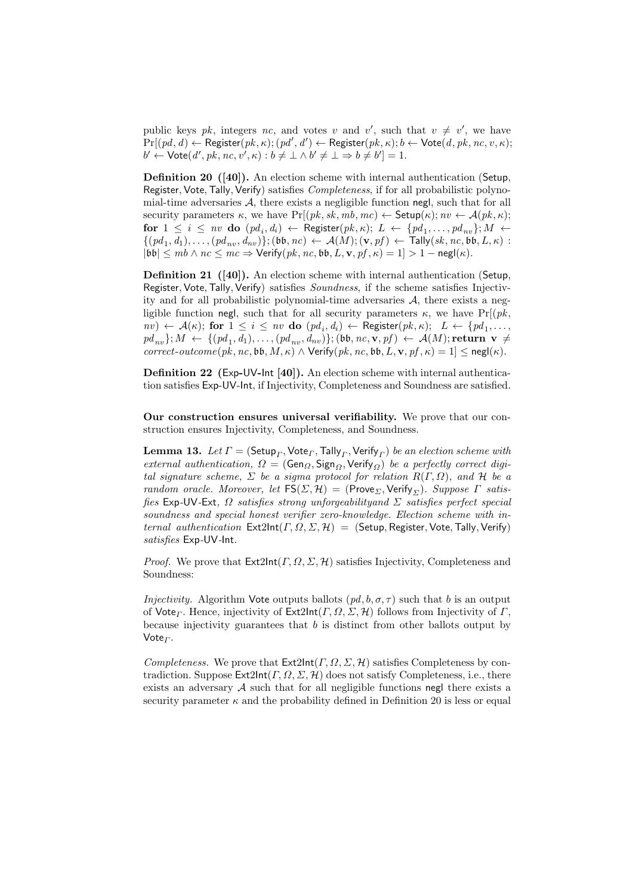public keys pk, integers nc, and votes v and v', such that  $v \neq v'$ , we have  $\Pr[(pd, d) \leftarrow \textsf{Register}(pk, \kappa); (pd', d') \leftarrow \textsf{Register}(pk, \kappa); b \leftarrow \textsf{Vote}(d, pk, nc, v, \kappa);$  $b' \leftarrow \mathsf{Vote}(d', pk, nc, v', \kappa): b \neq \bot \wedge b' \neq \bot \Rightarrow b \neq b'] = 1.$ 

Definition 20 ([40]). An election scheme with internal authentication (Setup, Register, Vote, Tally, Verify) satisfies *Completeness*, if for all probabilistic polynomial-time adversaries  $A$ , there exists a negligible function negl, such that for all security parameters  $\kappa$ , we have  $Pr[(pk, sk, mb, mc) \leftarrow$  Setup $(\kappa); nv \leftarrow \mathcal{A}(pk, \kappa);$ for  $1 \leq i \leq nv$  do  $(pd_i, d_i) \leftarrow$  Register $(pk, \kappa); L \leftarrow \{pd_1, \ldots, pd_{nv}\}; M \leftarrow$  $\{(pd_1, d_1), \ldots, (pd_{nv}, d_{nv})\}; (\mathfrak{bb}, nc) \leftarrow \mathcal{A}(M); (\mathbf{v}, pf) \leftarrow \mathsf{Tally}(sk, nc, \mathfrak{bb}, L, \kappa)$ :  $|{\bf b}{\bf b}| \leq mb \wedge nc \leq mc \Rightarrow$  Verify $(pk, nc, {\bf b}{\bf b}, L, {\bf v}, pf, \kappa) = 1] > 1 - \text{negl}(\kappa)$ .

Definition 21 ([40]). An election scheme with internal authentication (Setup, Register, Vote, Tally, Verify) satisfies *Soundness*, if the scheme satisfies Injectivity and for all probabilistic polynomial-time adversaries  $A$ , there exists a negligible function negl, such that for all security parameters  $\kappa$ , we have Pr[ $(pk,$  $f(nv) \leftarrow A(\kappa);$  for  $1 \leq i \leq nv$  do  $(pd_i, d_i) \leftarrow \text{Register}(pk, \kappa);$   $L \leftarrow \{pd_1, \ldots, d_k\}$  $pd_{nv}\}; M \, \leftarrow \, \{(pd_1, d_1), \dots, (pd_{nv}, d_{nv})\}; (\mathfrak{bb}, nc, \mathbf{v}, pf) \, \leftarrow \, \mathcal{A}(M); \mathbf{return} \;\; \mathbf{v} \, \neq \, \emptyset$  $correct\text{-}outcome(pk, nc, \mathfrak{bb}, M, \kappa) \wedge \text{Verify}(pk, nc, \mathfrak{bb}, L, \mathbf{v}, pf, \kappa) = 1] \leq \mathsf{negl}(\kappa).$ 

Definition 22 (Exp-UV-Int [40]). An election scheme with internal authentication satisfies Exp-UV-Int, if Injectivity, Completeness and Soundness are satisfied.

Our construction ensures universal verifiability. We prove that our construction ensures Injectivity, Completeness, and Soundness.

 ${\bf Lemma \ 13.} \ \ Let \ \varGamma = ({\sf Setup}_\varGamma, {\sf Vote}_\varGamma, {\sf Tally}_\varGamma, {\sf Verify}_\varGamma) \ be \ an \ election \ scheme \ with$ external authentication,  $\Omega = (\text{Gen}_{\Omega}, \text{Sign}_{\Omega}, \text{Verify}_{\Omega})$  be a perfectly correct digital signature scheme,  $\Sigma$  be a sigma protocol for relation  $R(\Gamma,\Omega)$ , and  $H$  be a random oracle. Moreover, let  $FS(\Sigma, \mathcal{H}) = (Prove_{\Sigma}, Verify_{\Sigma}).$  Suppose  $\Gamma$  satisfies Exp-UV-Ext,  $\Omega$  satisfies strong unforgeability and  $\Sigma$  satisfies perfect special soundness and special honest verifier zero-knowledge. Election scheme with internal authentication  $Ext2Int(\Gamma, \Omega, \Sigma, \mathcal{H}) = (Setup, Register, Note, Tally, Verify)$ satisfies Exp-UV-Int.

*Proof.* We prove that  $Ext2Int(\Gamma, \Omega, \Sigma, \mathcal{H})$  satisfies Injectivity, Completeness and Soundness:

*Injectivity.* Algorithm Vote outputs ballots  $(pd, b, \sigma, \tau)$  such that b is an output of Vote<sub>Γ</sub>. Hence, injectivity of Ext2Int(Γ, Ω, Σ, H) follows from Injectivity of Γ, because injectivity guarantees that  $b$  is distinct from other ballots output by Vote $_F$ .

Completeness. We prove that  $\textsf{Ext2Int}(\Gamma,\Omega,\Sigma,\mathcal{H})$  satisfies Completeness by contradiction. Suppose  $\mathsf{Ext2Int}(\Gamma, \Omega, \Sigma, \mathcal{H})$  does not satisfy Completeness, i.e., there exists an adversary  $A$  such that for all negligible functions negl there exists a security parameter  $\kappa$  and the probability defined in Definition 20 is less or equal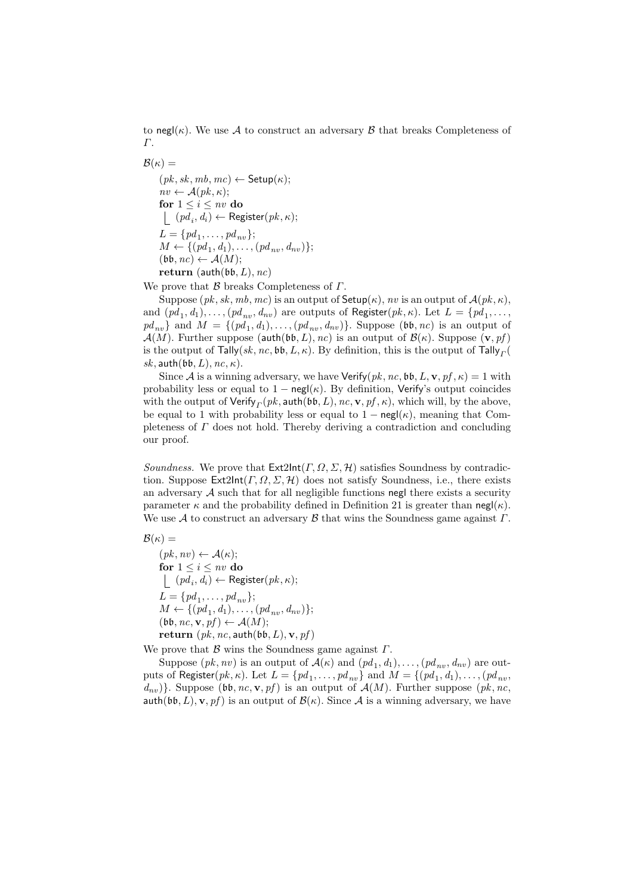to negl( $\kappa$ ). We use A to construct an adversary B that breaks Completeness of Γ.

 $\mathcal{B}(\kappa) =$  $(pk, sk, mb, mc) \leftarrow$  Setup $(\kappa);$  $nv \leftarrow \mathcal{A}(pk, \kappa);$ for  $1 \leq i \leq nv$  do  $(pd_i, d_i) \leftarrow \text{ Register}(pk, \kappa);$  $L = \{pd_1, \ldots, pd_{nv}\};$  $M \leftarrow \{(pd_1, d_1), \ldots, (pd_{nv}, d_{nv})\};$  $(\mathfrak{bb}, \mathit{nc}) \leftarrow \mathcal{A}(M);$ return (auth( $\mathfrak{bb}, L$ ),  $nc$ )

We prove that  $\beta$  breaks Completeness of  $\Gamma$ .

Suppose  $(pk, sk, mb, mc)$  is an output of  $\mathsf{Setup}(\kappa)$ , nv is an output of  $\mathcal{A}(pk, \kappa)$ , and  $(pd_1, d_1), \ldots, (pd_{nv}, d_{nv})$  are outputs of Register $(pk, \kappa)$ . Let  $L = \{pd_1, \ldots,$  $pd_{nv}$  } and  $M = \{(pd_1, d_1), \ldots, (pd_{nv}, d_{nv})\}$ . Suppose  $(\mathfrak{bb}, nc)$  is an output of  $\mathcal{A}(M)$ . Further suppose (auth(bb, L), nc) is an output of  $\mathcal{B}(\kappa)$ . Suppose  $(\mathbf{v}, pf)$ is the output of  $\mathsf{Tally}(sk, nc, \mathfrak{bb}, L, \kappa)$ . By definition, this is the output of  $\mathsf{Tally}_{\varGamma}(k)$ sk, auth( $\mathfrak{bb}, L$ ),  $nc, \kappa$ ).

Since A is a winning adversary, we have  $Verify(pk, nc, b, L, v, pf, \kappa) = 1$  with probability less or equal to  $1 - \text{negl}(\kappa)$ . By definition, Verify's output coincides with the output of  $\mathsf{Verify}_{\varGamma}(pk,\mathsf{auth}(\mathfrak{bb},L),nc,\mathbf{v},\mathit{pf},\kappa),$  which will, by the above, be equal to 1 with probability less or equal to  $1 - \text{negl}(\kappa)$ , meaning that Completeness of  $\Gamma$  does not hold. Thereby deriving a contradiction and concluding our proof.

Soundness. We prove that  $\text{Ext2Int}(\Gamma, \Omega, \Sigma, \mathcal{H})$  satisfies Soundness by contradiction. Suppose  $\mathsf{Ext2Int}(\Gamma,\Omega,\Sigma,\mathcal{H})$  does not satisfy Soundness, i.e., there exists an adversary  $A$  such that for all negligible functions negl there exists a security parameter  $\kappa$  and the probability defined in Definition 21 is greater than negl( $\kappa$ ). We use A to construct an adversary B that wins the Soundness game against  $\Gamma$ .

$$
\mathcal{B}(\kappa) =
$$

 $(pk, nv) \leftarrow \mathcal{A}(\kappa);$ for  $1 \leq i \leq nv$  do  $(pd_i, d_i) \leftarrow \text{ Register}(pk, \kappa);$  $L = \{pd_1, \ldots, pd_{nv}\};$  $M \leftarrow \{(pd_1, d_1), \ldots, (pd_{nv}, d_{nv})\};$  $(\mathfrak{bb}, \mathit{nc}, \mathbf{v}, \mathit{pf}) \leftarrow \mathcal{A}(M);$ return  $(pk, nc, \text{auth}(\mathfrak{bb}, L), \mathbf{v}, pf)$ 

We prove that  $\beta$  wins the Soundness game against  $\Gamma$ .

Suppose  $(pk, nv)$  is an output of  $\mathcal{A}(\kappa)$  and  $(pd_1, d_1), \ldots, (pd_{nv}, d_{nv})$  are outputs of Register $(pk, \kappa)$ . Let  $L = \{pd_1, \ldots, pd_{nv}\}$  and  $M = \{(pd_1, d_1), \ldots, (pd_{nv},$  $\{d_{nn}\}\}\.$  Suppose (bb, nc, v, pf) is an output of  $\mathcal{A}(M)$ . Further suppose (pk, nc, auth(bb, L), v, pf) is an output of  $\mathcal{B}(\kappa)$ . Since A is a winning adversary, we have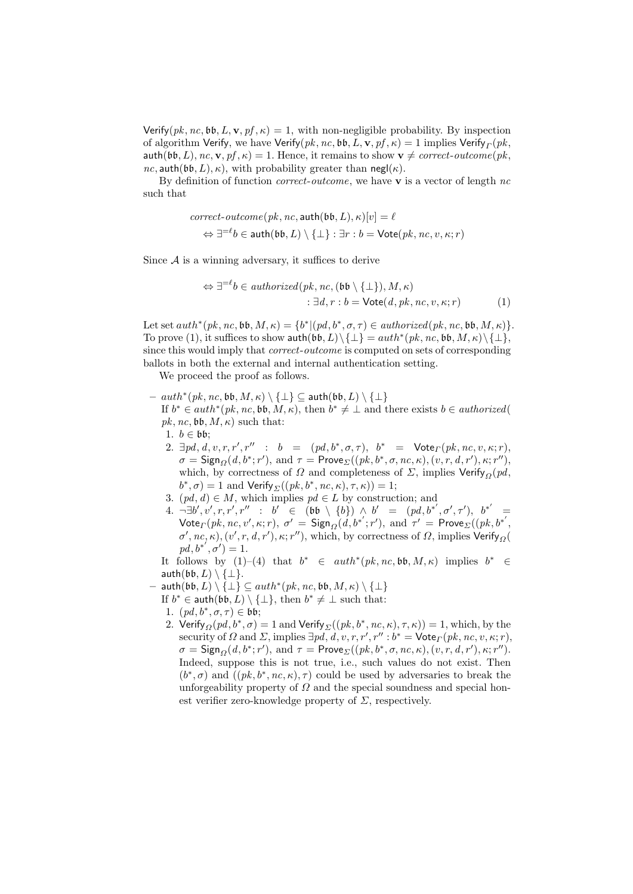Verify( $pk$ ,  $nc$ ,  $bb$ ,  $L$ ,  $\mathbf{v}$ ,  $pf$ ,  $\kappa$ ) = 1, with non-negligible probability. By inspection of algorithm Verify, we have Verify $(pk, nc, \mathfrak{bb}, L, \mathbf{v}, pf, \kappa) = 1$  implies Verify ${}_{\varGamma}(pk,$ auth(bb, L), nc,  $\mathbf{v}, pf, \kappa$ ) = 1. Hence, it remains to show  $\mathbf{v} \neq correct\text{-}outcome(pk,$  $nc$ , auth(bb, L),  $\kappa$ ), with probability greater than negl( $\kappa$ ).

By definition of function *correct-outcome*, we have **v** is a vector of length  $nc$ such that

$$
correct-outcome(pk, nc, \text{auth}(\text{bb}, L), \kappa)[v] = \ell
$$

$$
\Leftrightarrow \exists^{=\ell} b \in \text{auth}(\text{bb}, L) \setminus \{\bot\} : \exists r : b = \text{Vote}(pk, nc, v, \kappa; r)
$$

Since  $A$  is a winning adversary, it suffices to derive

$$
\Leftrightarrow \exists^{=\ell} b \in \mathit{authorized}(pk, nc, (bb \setminus \{\bot\}), M, \kappa)
$$
  

$$
: \exists d, r : b = \mathsf{Vote}(d, pk, nc, v, \kappa; r)
$$
 (1)

Let set  $auth^*(pk, nc, bb, M, \kappa) = \{b^* | (pd, b^*, \sigma, \tau) \in authorized(pk, nc, bb, M, \kappa)\}.$ To prove (1), it suffices to show  $\text{auth}(\mathfrak{bb}, L) \setminus \{\bot\} = \text{auth}^*(pk, nc, \mathfrak{bb}, M, \kappa) \setminus \{\bot\},$ since this would imply that *correct-outcome* is computed on sets of corresponding ballots in both the external and internal authentication setting.

We proceed the proof as follows.

 $--auth^*(pk, nc, \mathfrak{bb}, M, \kappa) \setminus \{\bot\} \subseteq \mathsf{auth}(\mathfrak{bb}, L) \setminus \{\bot\}$ 

If  $b^* \in \text{auth}^*(pk, nc, b\mathfrak{b}, M, \kappa)$ , then  $b^* \neq \bot$  and there exists  $b \in \text{authorized}($  $pk, nc, bb, M, \kappa)$  such that:

1.  $b \in \mathfrak{bb}$ ;

- 2.  $\exists pd, d, v, r, r', r'' : b = (pd, b^*, \sigma, \tau), b^* = \text{Vote}_{\Gamma}(pk, nc, v, \kappa; r),$  $\sigma = \mathsf{Sign}_{\Omega}(d, b^*; r'), \text{ and } \tau = \mathsf{Prove}_{\Sigma}((pk, b^*, \sigma, nc, \kappa), (v, r, d, r'), \kappa; r''),$ which, by correctness of  $\Omega$  and completeness of  $\Sigma$ , implies Verify<sub>Q</sub>(pd,  $b^*, \sigma$  = 1 and Verify  $_{\Sigma}((pk, b^*, nc, \kappa), \tau, \kappa)) = 1;$
- 3.  $(pd, d) \in M$ , which implies  $pd \in L$  by construction; and
- $4. \neg \exists b', v', r, r', r''$  : b'∈ (bb \ {b}) ∧ b' = (pd, b\*', σ', τ'), b\*' =  $\mathsf{Vote}_{\Gamma}(pk, nc, v', \kappa; r), \; \sigma' \, = \, \mathsf{Sign}_{\Omega}(d, b^{*'}; r'), \; \text{and} \; \tau' \, = \, \mathsf{Prove}_{\Sigma}((pk, b^{*'},$ σ', nc, κ),  $(v', r, d, r'), \kappa; r'$ ), which, by correctness of Ω, implies  $\mathsf{Verify}_\Omega($  $pd, b^{*'}, \sigma') = 1.$

It follows by (1)–(4) that  $b^* \in \text{auth}^*(pk, nc, bb, M, \kappa)$  implies  $b^* \in$ auth $(\mathfrak{bb}, L) \setminus \{\perp\}.$ 

- $-$  auth $(\mathfrak{bb}, L) \setminus \{\bot\} \subseteq \overline{auth^*(pk, nc, \mathfrak{bb}, M, \kappa) \setminus \{\bot\}}$ 
	- If  $b^* \in \text{auth}(bb, L) \setminus {\{\perp\}}, \text{ then } b^* \neq \perp \text{ such that:}$
	- 1.  $(pd, b^*, \sigma, \tau) \in \mathfrak{bb};$
	- 2. Verify $_{\Omega}(pd,b^*,\sigma)=1$  and Verify  $_{\Sigma}((pk,b^*,nc,\kappa),\tau,\kappa))=1,$  which, by the security of  $\Omega$  and  $\Sigma$ , implies  $\exists pd, d, v, r, r', r'' : b^* = \mathsf{Vote}_{\Gamma}(pk, nc, v, \kappa; r)$ ,  $\sigma = \mathsf{Sign}_{\Omega}(d, b^*; r'), \text{ and } \tau = \mathsf{Prove}_{\Sigma}((pk, b^*, \sigma, nc, \kappa), (v, r, d, r'), \kappa; r'').$ Indeed, suppose this is not true, i.e., such values do not exist. Then  $(b^*, \sigma)$  and  $((pk, b^*, nc, \kappa), \tau)$  could be used by adversaries to break the unforgeability property of  $\Omega$  and the special soundness and special honest verifier zero-knowledge property of  $\Sigma$ , respectively.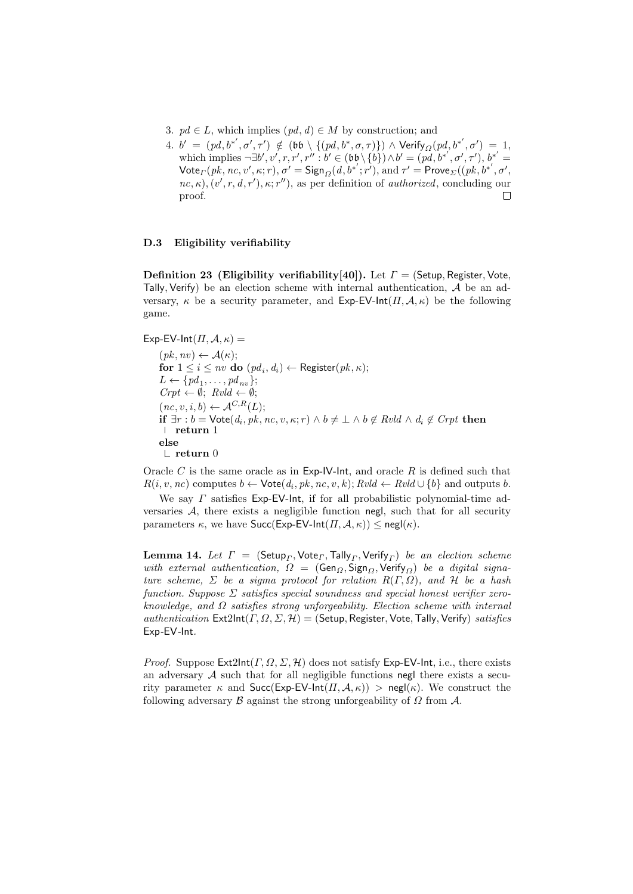- 3.  $pd \in L$ , which implies  $(pd, d) \in M$  by construction; and
- $4. \,\, b' \,\,=\,\, (pd, b^{*'}, \sigma', \tau') \,\, \notin \,\, (\mathfrak{bb} \,\setminus\, \{(pd, b^{*}, \sigma, \tau)\}) \,\wedge \,{\sf Verify}_{\varOmega}(pd, b^{*'}, \sigma') \,\,=\,\, 1,$ which implies  $\neg \exists b', v', r, r', r'' : b' \in (bb \setminus \{b\}) \wedge b' = (pd, b^{*'}, \sigma', \tau'), b^{*'} =$  $\mathsf{Vote}_{\Gamma}(pk, nc, v', \kappa; r), \sigma' = \mathsf{Sign}_{\Omega}(d, b^{*'}; r'), \text{and } \tau' = \mathsf{Prove}_{\Sigma}((pk, b^{*'}, \sigma',$  $nc, \kappa$ ,  $(v', r, d, r')$ ,  $\kappa$ ; r''), as per definition of *authorized*, concluding our proof. П

#### D.3 Eligibility verifiability

Definition 23 (Eligibility verifiability[40]). Let  $\Gamma =$  (Setup, Register, Vote, Tally, Verify) be an election scheme with internal authentication,  $A$  be an adversary,  $\kappa$  be a security parameter, and Exp-EV-Int $(\Pi, \mathcal{A}, \kappa)$  be the following game.

Exp-EV-Int $(\Pi, \mathcal{A}, \kappa)$  =  $(pk, nv) \leftarrow \mathcal{A}(\kappa);$ for  $1 \leq i \leq nv$  do  $(pd_i,d_i) \leftarrow$  Register $(pk,\kappa);$  $L \leftarrow \{pd_1, \ldots, pd_{nv}\};$  $Crpt \leftarrow \emptyset$ ;  $Rvld \leftarrow \emptyset$ ;  $(nc, v, i, b) \leftarrow \mathcal{A}^{C,R}(L);$ if  $\exists r : b = \textsf{Vote}(d_i, pk, nc, v, \kappa; r) \land b \neq \bot \land b \notin Rvld \land d_i \notin Crpt$  then return 1 else  $\mathrel{\mathop\mathrel{\mathop{\rule{.15pt}{.}}\mathrel{\mathop{\mathop{\rule{.15pt}{.}}}}}}$  return  $0$ 

Oracle C is the same oracle as in Exp-IV-Int, and oracle  $R$  is defined such that  $R(i, v, nc)$  computes  $b \leftarrow \mathsf{Vote}(d_i, pk, nc, v, k); Rvld \leftarrow Rvld \cup \{b\}$  and outputs b.

We say  $\Gamma$  satisfies Exp-EV-lnt, if for all probabilistic polynomial-time adversaries  $A$ , there exists a negligible function negl, such that for all security parameters  $\kappa$ , we have Succ(Exp-EV-Int( $\Pi$ ,  $\mathcal{A}$ ,  $\kappa$ ))  $\leq$  negl( $\kappa$ ).

 ${\bf Lemma \ 14.} \ \ Let \ \ \Gamma \ = \ (\mathsf{Setup}_\Gamma, \mathsf{Vote}_\Gamma, \mathsf{Tally}_\Gamma, \mathsf{Verify}_\Gamma) \ \ be \ \ an \ \ electron \ scheme$ with external authentication,  $\Omega = (\text{Gen}_{\Omega}, \text{Sign}_{O}, \text{Verify}_{O})$  be a digital signature scheme,  $\Sigma$  be a sigma protocol for relation  $R(\Gamma,\Omega)$ , and  $H$  be a hash function. Suppose  $\Sigma$  satisfies special soundness and special honest verifier zeroknowledge, and  $\Omega$  satisfies strong unforgeability. Election scheme with internal authentication  $\textsf{Ext2Int}(\Gamma,\Omega,\Sigma,\mathcal{H}) = (\textsf{Setup},\textsf{Register},\textsf{Vote},\textsf{Tally},\textsf{Verify})$  satisfies Exp-EV-Int.

*Proof.* Suppose  $Ext2Int(\Gamma, \Omega, \Sigma, \mathcal{H})$  does not satisfy Exp-EV-Int, i.e., there exists an adversary  $A$  such that for all negligible functions negl there exists a security parameter  $\kappa$  and  $Succ(Exp-EV-Int(\Pi, \mathcal{A}, \kappa)) > neg(\kappa)$ . We construct the following adversary  $\beta$  against the strong unforgeability of  $\Omega$  from  $\mathcal{A}$ .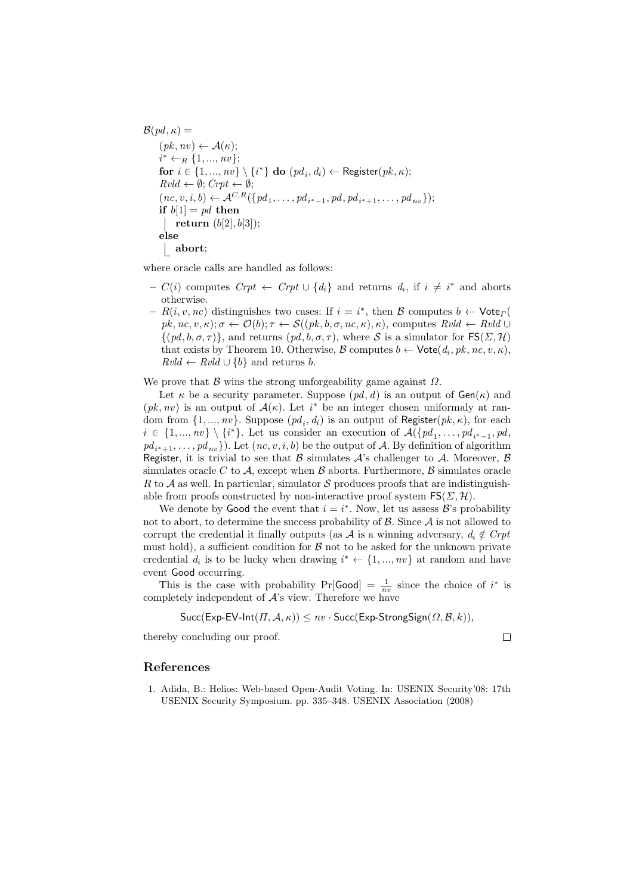$$
\mathcal{B}(pd, \kappa) =
$$
\n
$$
(pk, nv) \leftarrow \mathcal{A}(\kappa);
$$
\n
$$
i^* \leftarrow_R \{1, ..., nv\};
$$
\n
$$
\text{for } i \in \{1, ..., nv\} \setminus \{i^*\} \text{ do } (pd_i, d_i) \leftarrow \text{Register}(pk, \kappa);
$$
\n
$$
Rvld \leftarrow \emptyset; Crpt \leftarrow \emptyset;
$$
\n
$$
(nc, v, i, b) \leftarrow \mathcal{A}^{C,R}(\{pd_1, \ldots, pd_{i^*-1}, pd, pd_{i^*+1}, \ldots, pd_{nv}\});
$$
\n
$$
\text{if } b[1] = pd \text{ then}
$$
\n
$$
| \text{ return } (b[2], b[3]);
$$
\n
$$
\text{else}
$$
\n
$$
| \text{ abort};
$$

where oracle calls are handled as follows:

- $C(i)$  computes  $Crt \leftarrow Crt \cup \{d_i\}$  and returns  $d_i$ , if  $i \neq i^*$  and aborts otherwise.
- $-R(i, v, nc)$  distinguishes two cases: If  $i = i^*$ , then  $\mathcal{B}$  computes  $b \leftarrow \text{Vote}_{\Gamma}$  $pk, nc, v, \kappa); \sigma \leftarrow \mathcal{O}(b); \tau \leftarrow \mathcal{S}((pk, b, \sigma, nc, \kappa), \kappa)$ , computes  $Rvld \leftarrow Rvld \cup$  $\{(pd, b, \sigma, \tau)\}\$ , and returns  $(pd, b, \sigma, \tau)$ , where S is a simulator for  $\mathsf{FS}(\Sigma, \mathcal{H})$ that exists by Theorem 10. Otherwise,  $\mathcal{B}$  computes  $b \leftarrow \textsf{Vote}(d_i, pk, nc, v, \kappa)$ ,  $Rvld \leftarrow Rvld \cup \{b\}$  and returns b.

We prove that  $\beta$  wins the strong unforgeability game against  $\Omega$ .

Let  $\kappa$  be a security parameter. Suppose  $(pd, d)$  is an output of  $Gen(\kappa)$  and  $(pk, nv)$  is an output of  $\mathcal{A}(\kappa)$ . Let  $i^*$  be an integer chosen uniformaly at random from  $\{1, ..., nv\}$ . Suppose  $(pd_i, d_i)$  is an output of Register $(pk, \kappa)$ , for each  $i \in \{1, ..., nv\} \setminus \{i^*\}.$  Let us consider an execution of  $\mathcal{A}(\{pd_1, \ldots, pd_{i^*-1}, pd,$  $pd_{i^*+1}, \ldots, pd_{nv}$ ). Let  $(nc, v, i, b)$  be the output of A. By definition of algorithm Register, it is trivial to see that  $\beta$  simulates  $\mathcal{A}$ 's challenger to  $\mathcal{A}$ . Moreover,  $\beta$ simulates oracle C to A, except when  $\beta$  aborts. Furthermore,  $\beta$  simulates oracle R to A as well. In particular, simulator S produces proofs that are indistinguishable from proofs constructed by non-interactive proof system  $FS(\Sigma, \mathcal{H})$ .

We denote by Good the event that  $i = i^*$ . Now, let us assess  $\mathcal{B}'$ 's probability not to abort, to determine the success probability of  $\beta$ . Since  $\mathcal A$  is not allowed to corrupt the credential it finally outputs (as A is a winning adversary,  $d_i \notin Crpt$ must hold), a sufficient condition for  $\beta$  not to be asked for the unknown private credential  $d_i$  is to be lucky when drawing  $i^* \leftarrow \{1, ..., nv\}$  at random and have event Good occurring.

This is the case with probability  $Pr[Good] = \frac{1}{nv}$  since the choice of i<sup>\*</sup> is completely independent of  $A$ 's view. Therefore we have

$$
Succ(Exp-EV-Int(\Pi,\mathcal{A},\kappa)) \leq nv \cdot Succ(Exp-StrongSign(\Omega,\mathcal{B},k)),
$$

thereby concluding our proof.

 $\Box$ 

### References

1. Adida, B.: Helios: Web-based Open-Audit Voting. In: USENIX Security'08: 17th USENIX Security Symposium. pp. 335–348. USENIX Association (2008)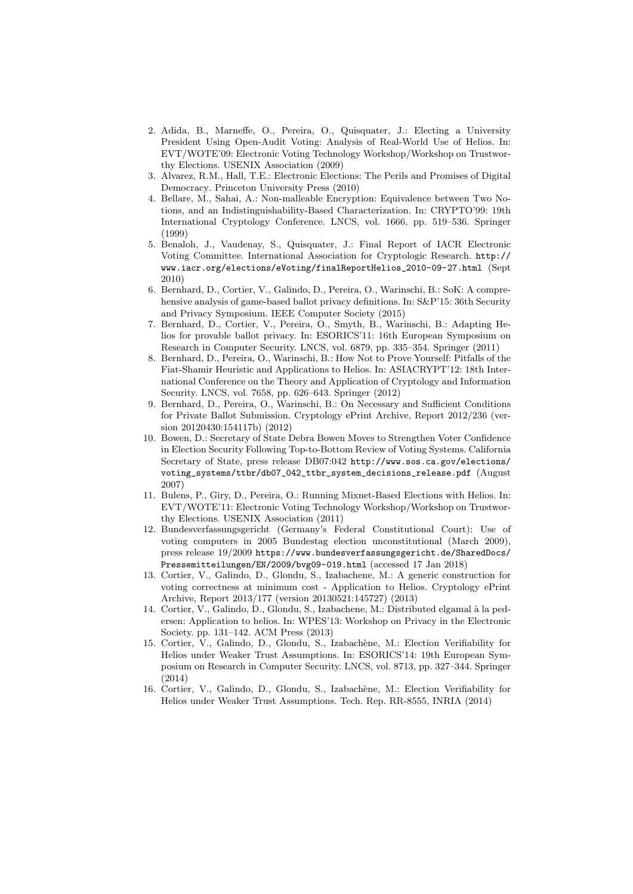- 2. Adida, B., Marneffe, O., Pereira, O., Quisquater, J.: Electing a University President Using Open-Audit Voting: Analysis of Real-World Use of Helios. In: EVT/WOTE'09: Electronic Voting Technology Workshop/Workshop on Trustworthy Elections. USENIX Association (2009)
- 3. Alvarez, R.M., Hall, T.E.: Electronic Elections: The Perils and Promises of Digital Democracy. Princeton University Press (2010)
- 4. Bellare, M., Sahai, A.: Non-malleable Encryption: Equivalence between Two Notions, and an Indistinguishability-Based Characterization. In: CRYPTO'99: 19th International Cryptology Conference. LNCS, vol. 1666, pp. 519–536. Springer (1999)
- 5. Benaloh, J., Vaudenay, S., Quisquater, J.: Final Report of IACR Electronic Voting Committee. International Association for Cryptologic Research. http:// www.iacr.org/elections/eVoting/finalReportHelios\_2010-09-27.html (Sept 2010)
- 6. Bernhard, D., Cortier, V., Galindo, D., Pereira, O., Warinschi, B.: SoK: A comprehensive analysis of game-based ballot privacy definitions. In: S&P'15: 36th Security and Privacy Symposium. IEEE Computer Society (2015)
- 7. Bernhard, D., Cortier, V., Pereira, O., Smyth, B., Warinschi, B.: Adapting Helios for provable ballot privacy. In: ESORICS'11: 16th European Symposium on Research in Computer Security. LNCS, vol. 6879, pp. 335–354. Springer (2011)
- 8. Bernhard, D., Pereira, O., Warinschi, B.: How Not to Prove Yourself: Pitfalls of the Fiat-Shamir Heuristic and Applications to Helios. In: ASIACRYPT'12: 18th International Conference on the Theory and Application of Cryptology and Information Security. LNCS, vol. 7658, pp. 626–643. Springer (2012)
- 9. Bernhard, D., Pereira, O., Warinschi, B.: On Necessary and Sufficient Conditions for Private Ballot Submission. Cryptology ePrint Archive, Report 2012/236 (version 20120430:154117b) (2012)
- 10. Bowen, D.: Secretary of State Debra Bowen Moves to Strengthen Voter Confidence in Election Security Following Top-to-Bottom Review of Voting Systems. California Secretary of State, press release DB07:042 http://www.sos.ca.gov/elections/ voting\_systems/ttbr/db07\_042\_ttbr\_system\_decisions\_release.pdf (August 2007)
- 11. Bulens, P., Giry, D., Pereira, O.: Running Mixnet-Based Elections with Helios. In: EVT/WOTE'11: Electronic Voting Technology Workshop/Workshop on Trustworthy Elections. USENIX Association (2011)
- 12. Bundesverfassungsgericht (Germany's Federal Constitutional Court): Use of voting computers in 2005 Bundestag election unconstitutional (March 2009), press release 19/2009 https://www.bundesverfassungsgericht.de/SharedDocs/ Pressemitteilungen/EN/2009/bvg09-019.html (accessed 17 Jan 2018)
- 13. Cortier, V., Galindo, D., Glondu, S., Izabachene, M.: A generic construction for voting correctness at minimum cost - Application to Helios. Cryptology ePrint Archive, Report 2013/177 (version 20130521:145727) (2013)
- 14. Cortier, V., Galindo, D., Glondu, S., Izabachene, M.: Distributed elgamal à la pedersen: Application to helios. In: WPES'13: Workshop on Privacy in the Electronic Society. pp. 131–142. ACM Press (2013)
- 15. Cortier, V., Galindo, D., Glondu, S., Izabachène, M.: Election Verifiability for Helios under Weaker Trust Assumptions. In: ESORICS'14: 19th European Symposium on Research in Computer Security. LNCS, vol. 8713, pp. 327–344. Springer (2014)
- 16. Cortier, V., Galindo, D., Glondu, S., Izabachène, M.: Election Verifiability for Helios under Weaker Trust Assumptions. Tech. Rep. RR-8555, INRIA (2014)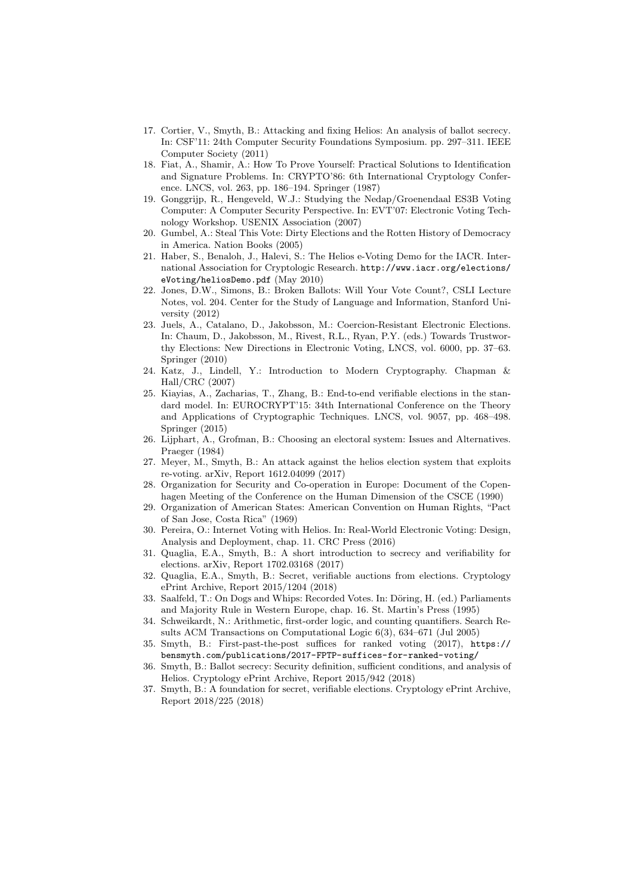- 17. Cortier, V., Smyth, B.: Attacking and fixing Helios: An analysis of ballot secrecy. In: CSF'11: 24th Computer Security Foundations Symposium. pp. 297–311. IEEE Computer Society (2011)
- 18. Fiat, A., Shamir, A.: How To Prove Yourself: Practical Solutions to Identification and Signature Problems. In: CRYPTO'86: 6th International Cryptology Conference. LNCS, vol. 263, pp. 186–194. Springer (1987)
- 19. Gonggrijp, R., Hengeveld, W.J.: Studying the Nedap/Groenendaal ES3B Voting Computer: A Computer Security Perspective. In: EVT'07: Electronic Voting Technology Workshop. USENIX Association (2007)
- 20. Gumbel, A.: Steal This Vote: Dirty Elections and the Rotten History of Democracy in America. Nation Books (2005)
- 21. Haber, S., Benaloh, J., Halevi, S.: The Helios e-Voting Demo for the IACR. International Association for Cryptologic Research. http://www.iacr.org/elections/ eVoting/heliosDemo.pdf (May 2010)
- 22. Jones, D.W., Simons, B.: Broken Ballots: Will Your Vote Count?, CSLI Lecture Notes, vol. 204. Center for the Study of Language and Information, Stanford University (2012)
- 23. Juels, A., Catalano, D., Jakobsson, M.: Coercion-Resistant Electronic Elections. In: Chaum, D., Jakobsson, M., Rivest, R.L., Ryan, P.Y. (eds.) Towards Trustworthy Elections: New Directions in Electronic Voting, LNCS, vol. 6000, pp. 37–63. Springer (2010)
- 24. Katz, J., Lindell, Y.: Introduction to Modern Cryptography. Chapman & Hall/CRC (2007)
- 25. Kiayias, A., Zacharias, T., Zhang, B.: End-to-end verifiable elections in the standard model. In: EUROCRYPT'15: 34th International Conference on the Theory and Applications of Cryptographic Techniques. LNCS, vol. 9057, pp. 468–498. Springer (2015)
- 26. Lijphart, A., Grofman, B.: Choosing an electoral system: Issues and Alternatives. Praeger (1984)
- 27. Meyer, M., Smyth, B.: An attack against the helios election system that exploits re-voting. arXiv, Report 1612.04099 (2017)
- 28. Organization for Security and Co-operation in Europe: Document of the Copenhagen Meeting of the Conference on the Human Dimension of the CSCE (1990)
- 29. Organization of American States: American Convention on Human Rights, "Pact of San Jose, Costa Rica" (1969)
- 30. Pereira, O.: Internet Voting with Helios. In: Real-World Electronic Voting: Design, Analysis and Deployment, chap. 11. CRC Press (2016)
- 31. Quaglia, E.A., Smyth, B.: A short introduction to secrecy and verifiability for elections. arXiv, Report 1702.03168 (2017)
- 32. Quaglia, E.A., Smyth, B.: Secret, verifiable auctions from elections. Cryptology ePrint Archive, Report 2015/1204 (2018)
- 33. Saalfeld, T.: On Dogs and Whips: Recorded Votes. In: Döring, H. (ed.) Parliaments and Majority Rule in Western Europe, chap. 16. St. Martin's Press (1995)
- 34. Schweikardt, N.: Arithmetic, first-order logic, and counting quantifiers. Search Results ACM Transactions on Computational Logic 6(3), 634–671 (Jul 2005)
- 35. Smyth, B.: First-past-the-post suffices for ranked voting (2017), https:// bensmyth.com/publications/2017-FPTP-suffices-for-ranked-voting/
- 36. Smyth, B.: Ballot secrecy: Security definition, sufficient conditions, and analysis of Helios. Cryptology ePrint Archive, Report 2015/942 (2018)
- 37. Smyth, B.: A foundation for secret, verifiable elections. Cryptology ePrint Archive, Report 2018/225 (2018)